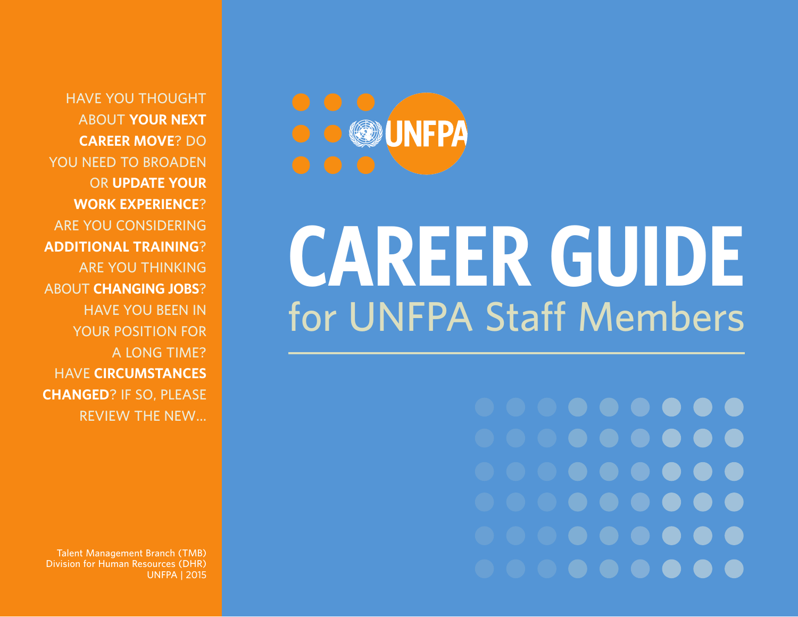**HAVE YOU THOUGHT ABOUT YOUR NEXT CAREER MOVE? DO YOU NEED TO BROADEN OR UPDATE YOUR WORK EXPERIENCE? ARE YOU CONSIDERING ADDITIONAL TRAINING? ARE YOU THINKING ABOUT CHANGING JOBS? HAVE YOU BEEN IN YOUR POSITION FOR A LONG TIME? HAVE CIRCUMSTANCES CHANGED? IF SO, PLEASE REVIEW THE NEW…**

**Talent Management Branch (TMB) Division for Human Resources (DHR) UNFPA | 2015**



# **CAREER GUIDE for UNFPA Staff Members**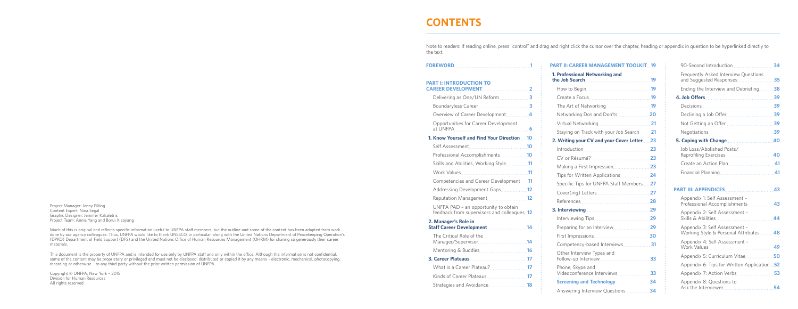Project Manager: Jenny Pilling Content Expert: Nina Segal Graphic Designer: Jennifer Kakaletris Project Team: Annie Yang and Borui Xiaoyang

Much of this is original and reflects specific information useful to UNFPA staff members, but the outline and some of the content has been adapted from work done by our agency colleagues. Thus, UNFPA would like to thank UNESCO, in particular, along with the United Nations Department of Peacekeeping Operation's (DPKO) Department of Field Support (DFS) and the United Nations Office of Human Resources Management (OHRM) for sharing so generously their career materials.

This document is the property of UNFPA and is intended for use only by UNFPA staff and only within the office. Although the information is not confidential, some of the content may be proprietary or privileged and must not be disclosed, distributed or copied it by any means – electronic, mechanical, photocopying, recording or otherwise – to any third party without the prior written permission of UNFPA.

Copyright © UNFPA, New York – 2015 Division for Human Resources All rights reserved

Opportur at UNFPA **6**

#### **1. Know You**

**Self Asse** 

**Profession** 

### **PART II: CAREER MANAGEMENT TOOLKIT 19**

Skills and

**Work Val** 

Compete

Addressin

**Reputatio** 

UNFPA P feedback

#### **2. Manager Staff Caree**

The Critic Manager,

**Mentorin** 

### **3. Career P**

What is a Kinds of

Strategies

| 1. Professional Networking and                    |    |
|---------------------------------------------------|----|
| the Job Search 2008 19                            |    |
|                                                   |    |
|                                                   |    |
|                                                   |    |
|                                                   |    |
|                                                   |    |
| Staying on Track with your Job Search21           |    |
| 2. Writing your CV and your Cover Letter23        |    |
|                                                   |    |
|                                                   |    |
| Making a First Impression 23                      |    |
| Tips for Written Applications 24                  |    |
| Specific Tips for UNFPA Staff Members27           |    |
|                                                   |    |
|                                                   |    |
|                                                   |    |
|                                                   |    |
|                                                   |    |
|                                                   |    |
| Competency-based Interviews 31                    |    |
| Other Interview Types and                         |    |
| Phone, Skype and<br>Videoconference Interviews 33 |    |
| <b>Screening and Technology</b>                   | 34 |
|                                                   |    |

# **CONTENTS**

Note to readers: If reading online, press "control" and drag and right click the cursor over the chapter, heading or appendix in question to be hyperlinked directly to

| J.                                                                 |  |
|--------------------------------------------------------------------|--|
| <b>RODUCTION TO</b>                                                |  |
|                                                                    |  |
| g as One/UN Reform 3                                               |  |
|                                                                    |  |
| of Career Development4                                             |  |
| nities for Career Development                                      |  |
|                                                                    |  |
| urself and Find Your Direction10                                   |  |
|                                                                    |  |
| nal Accomplishments10                                              |  |
| Abilities, Working Style11                                         |  |
| lues                                                               |  |
| ncies and Career Development11                                     |  |
| ng Development Gaps12                                              |  |
| on Management12                                                    |  |
| AD - an opportunity to obtain<br>from supervisors and colleagues12 |  |
| r's Role in<br>er Development14                                    |  |
| cal Role of the                                                    |  |
|                                                                    |  |
|                                                                    |  |
| a Career Plateau?17                                                |  |
|                                                                    |  |
| s and Avoidance 18                                                 |  |

the text.

### **FOREWORD 1**

#### **PART I: INTI CAREER DE**

Delivering

Boundary

Overview

| 90-Second Introduction                                                 | 34 |
|------------------------------------------------------------------------|----|
| <b>Frequently Asked Interview Questions</b><br>and Suggested Responses | 35 |
| Ending the Interview and Debriefing                                    | 38 |
|                                                                        | 39 |
|                                                                        | 39 |
| Declining a Job Offer                                                  | 39 |
| Not Getting an Offer                                                   | 39 |
|                                                                        | 39 |
|                                                                        | 40 |
| Job Loss/Abolished Posts/                                              |    |
|                                                                        |    |
|                                                                        |    |
|                                                                        |    |

| <b>PART III: APPENDICES</b>                                            | 43 |
|------------------------------------------------------------------------|----|
| Appendix 1: Self Assessment -<br>Professional Accomplishments 43       |    |
| Appendix 2: Self Assessment -                                          | 44 |
| Appendix 3: Self Assessment -<br>Working Style & Personal Attributes48 |    |
| Appendix 4: Self Assessment -                                          |    |
| Appendix 5: Curriculum Vitae                                           | 50 |
| Appendix 6: Tips for Written Application 52                            |    |
| Appendix 7: Action Verbs                                               | 53 |
| Appendix 8: Questions to<br>Ask the Interviewer                        | 54 |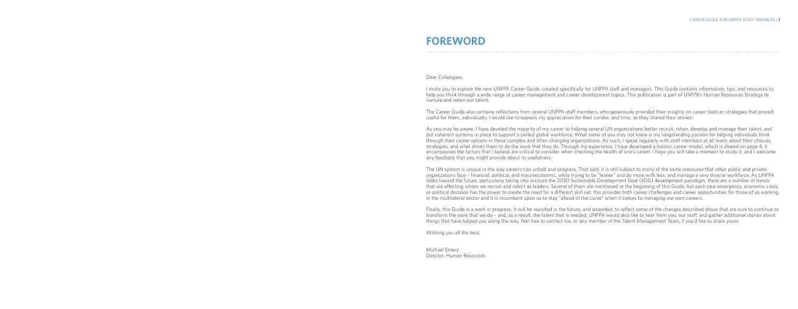Dear Colleagues,

I invite you to explore the new UNFPA Career Guide, created specifically for UNFPA staff and managers. This Guide contains information, tips, and resources to help you think through a wide range of career management and career development topics. This publication is part of UNFPA's Human Resources Strategy to nurture and retain our talent.

The Career Guide also contains reflections from several UNFPA staff members, who generously provided their insights on career tools or strategies that proved useful for them, individually. I would like to express my appreciation for their candor, and time, as they shared their stories.

As you may be aware, I have devoted the majority of my career to helping several UN organizations better recruit, retain, develop and manage their talent, and put coherent systems in place to support a skilled global workforce. What some of you may not know is my longstanding passion for helping individuals think through their career options in these complex and often changing organizations. As such, I speak regularly with staff members at all levels about their choices, strategies, and what drives them to do the work that they do. Through my experience, I have developed a holistic career model, which is shared on page 4; it encompasses the factors that I believe are critical to consider when checking the health of one's career. I hope you will take a moment to study it, and I welcome any feedback that you might provide about its usefulness.

The UN system is unique in the way careers can unfold and progress. That said, it is still subject to many of the same pressures that other public and private organizations face – financial, political, and macroeconomic, while trying to be "leaner" and do more with less, and manage a very diverse workforce. As UNFPA looks toward the future, particularly taking into account the 2030 Sustainable Development Goal (SDG) development paradigm, there are a number of trends that are affecting whom we recruit and select as leaders. Several of them are mentioned at the beginning of this Guide, but each new emergency, economic crisis, or political decision has the power to create the need for a different skill set; this provides both career challenges and career opportunities for those of us working in the multilateral sector and it is incumbent upon us to stay "ahead of the curve" when it comes to managing our own careers.

Finally, this Guide is a work in progress. It will be revisited in the future, and amended, to reflect some of the changes described above that are sure to continue to transform the work that we do – and, as a result, the talent that is needed. UNFPA would also like to hear from you, our staff, and gather additional stories about things that have helped you along the way. Feel free to contact me, or any member of the Talent Management Team, if you'd like to share yours.

Wishing you all the best,

Michael Emery

Director, Human Resources

# **FOREWORD**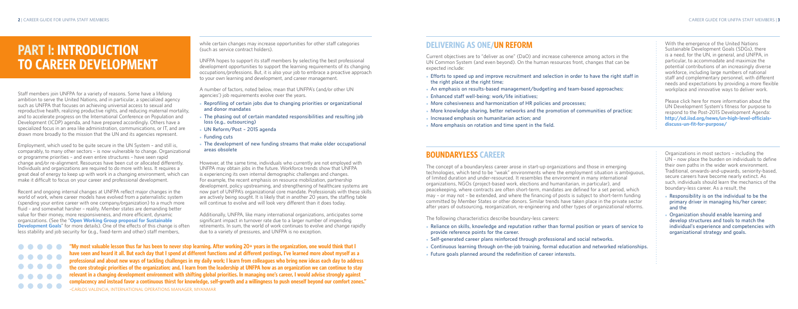# **BOUNDARYLESS CAREER**

The concept of a boundaryless career arose in start-up organizations and those in emerging technologies, which tend to be "weak" environments where the employment situation is ambiguous, of limited duration and under-resourced. It resembles the environment in many international organizations, NGOs (project-based work, elections and humanitarian, in particular), and peacekeeping, where contracts are often short-term, mandates are defined for a set period, which may – or may not – be extended, and where the financing of posts is subject to short-term funding committed by Member States or other donors. Similar trends have taken place in the private sector after years of outsourcing, reorganization, re-engineering and other types of organizational reforms.

- Reliance on skills, knowledge and reputation rather than formal position or years of service to **provide reference points for the career.**
- ● **Self-generated career plans reinforced through professional and social networks.**

The following characteristics describe boundary-less careers:

- 
- 
- 
- Future goals planned around the redefinition of career interests.
- Continuous learning through on-the-job training, formal education and networked relationships.

# **DELIVERING AS ONE/UN REFORM**

Current objectives are to "deliver as one" (DaO) and increase coherence among actors in the UN Common System (and even beyond). On the human resources front, changes that can be

- Efforts to speed up and improve recruitment and selection in order to have the right staff in **the right place at the right time;**
- More cohesiveness and harmonization of HR policies and processes;
- More knowledge sharing, better networks and the promotion of communities of practice;
- Increased emphasis on humanitarian action; and
- More emphasis on rotation and time spent in the field.

expected include:

- 
- An emphasis on results-based management/budgeting and team-based approaches; • Enhanced staff well-being; work/life initiatives;
- 
- 
- 
- 
- 

- **Responsibility is on the individual to be the primary driver in managing his/her career; and the**
- **Organization should enable learning and develop structures and tools to match the individual's experience and competencies with organizational strategy and goals.**
- Reprofiling of certain jobs due to changing priorities or organizational **and donor mandates**
- The phasing out of certain mandated responsibilities and resulting job **loss (e.g., outsourcing)**
- ● **UN Reform/Post 2015 agenda**
- ● **Funding cuts**
- The development of new funding streams that make older occupational **areas obsolete**

With the emergence of the United Nations Sustainable Development Goals (SDGs), there is a need, for the UN, in general, and UNFPA, in particular, to accommodate and maximize the potential contributions of an increasingly diverse workforce, including large numbers of national staff and complementary personnel, with different needs and expectations by providing a more flexible workplace and innovative ways to deliver work.

Please click here for more information about the UN Development System's fitness for purpose to respond to the Post-2015 Development Agenda: **http://sd.iisd.org/news/un-high-level-officialsdiscuss-un-fit-for-purpose/**

Organizations in most sectors – including the UN – now place the burden on individuals to define their own paths in the wider work environment. Traditional, onwards-and-upwards, seniority-based, secure careers have become nearly extinct. As such, individuals should learn the mechanics of the boundary-less career. As a result, the

while certain changes may increase opportunities for other staff categories (such as service contract holders).

UNFPA hopes to support its staff members by selecting the best professional development opportunities to support the learning requirements of its changing occupations/professions. But, it is also your job to embrace a proactive approach to your own learning and development, and career management.

A number of factors, noted below, mean that UNFPA's (and/or other UN agencies') job requirements evolve over the years.

However, at the same time, individuals who currently are not employed with UNFPA may obtain jobs in the future. Workforce trends show that UNFPA is experiencing its own internal demographic challenges and changes. For example, the recent emphasis on resource mobilization, partnership development, policy upstreaming, and strengthening of healthcare systems are now part of UNFPA's organizational core mandate. Professionals with these skills are actively being sought. It is likely that in another 20 years, the staffing table will continue to evolve and will look very different than it does today.

Additionally, UNFPA, like many international organizations, anticipates some significant impact in turnover rate due to a larger number of impending retirements. In sum, the world of work continues to evolve and change rapidly due to a variety of pressures, and UNFPA is no exception.



# **PART l: INTRODUCTION TO CAREER DEVELOPMENT**

Staff members join UNFPA for a variety of reasons. Some have a lifelong ambition to serve the United Nations, and in particular, a specialized agency such as UNFPA that focuses on achieving universal access to sexual and reproductive health, realizing productive rights, and reducing maternal mortality, and to accelerate progress on the International Conference on Population and Development (ICDP) agenda, and have prepared accordingly. Others have a specialized focus in an area like administration, communications, or IT, and are drawn more broadly to the mission that the UN and its agencies represent.

Employment, which used to be quite secure in the UN System – and still is, comparably, to many other sectors – is now vulnerable to change. Organizational or programme priorities – and even entire structures – have seen rapid change and/or re-alignment. Resources have been cut or allocated differently. Individuals and organizations are required to do more with less. It requires a great deal of energy to keep up with work in a changing environment, which can make it difficult to focus on your career and professional development.

Recent and ongoing internal changes at UNFPA reflect major changes in the world of work, where career models have evolved from a paternalistic system (spending your entire career with one company/organization) to a much more fluid – and somewhat harsher – reality. Member states are demanding better value for their money, more responsiveness, and more efficient, dynamic organizations. (See the "**Open Working Group proposal for Sustainable Development Goals**" for more details). One of the effects of this change is often less stability and job security for (e.g., fixed-term and other) staff members,

> **"My most valuable lesson thus far has been to never stop learning. After working 20+ years in the organization, one would think that I have seen and heard it all. But each day that I spend at different functions and at different postings, I've learned more about myself as a professional and about new ways of tackling challenges in my daily work; I learn from colleagues who bring new ideas each day to address the core strategic priorities of the organization; and, I learn from the leadership at UNFPA how as an organization we can continue to stay relevant in a changing development environment with shifting global priorities. In managing one's career, I would advise strongly against complacency and instead favor a continuous thirst for knowledge, self-growth and a willingness to push oneself beyond our comfort zones."** –CARLOS VALENCIA, INTERNATIONAL OPERATIONS MANAGER, MYANMAR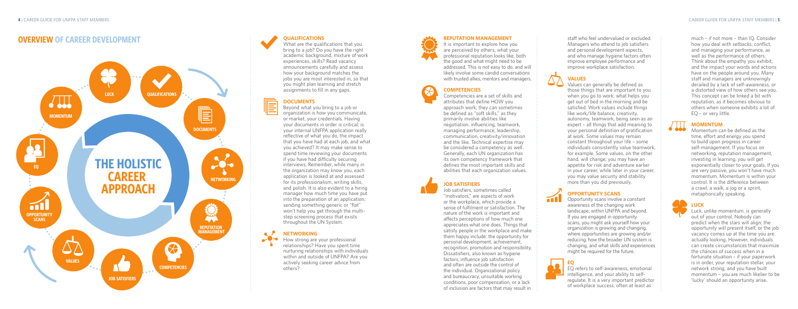much – if not more – than IQ. Consider how you deal with setbacks, conflict, and managing your performance, as well as the performance of others. Think about the empathy you exhibit, and the impact your words and actions have on the people around you. Many staff and managers are unknowingly derailed by a lack of self-awareness, or a distorted view of how others see you. This concept can be linked a bit with reputation, as it becomes obvious to others when someone exhibits a lot of EQ – or very little.



Momentum can be defined as the time, effort and energy you spend to build upon progress in career self-management. If you focus on networking, reputation management, investing in learning, you will get exponentially closer to your goals. If you are very passive, you won't have much momentum. Momentum is within your control. It is the difference between a crawl, a walk, a jog or a sprint, metaphorically speaking.



### **LUCK**

Luck, unlike momentum, is generally out of your control. Nobody can predict when the stars will align; the opportunity will present itself, or the job vacancy comes up at the time you are actually looking. However, individuals can create circumstances that maximize the chances of success when in a fortunate situation – if your paperwork is in order, your reputation stellar, your network strong, and you have built momentum – you are much likelier to be 'lucky' should an opportunity arise.

staff who feel undervalued or excluded. Managers who attend to job satisfiers and personal development aspects, and who manage hygiene factors often improve employee performance and improve workplace satisfaction.



Values can generally be defined as those things that are important to you when you go to work; what helps you get out of bed in the morning and be satisfied. Work values include things like work/life balance, creativity, autonomy, teamwork, being seen as an expert – all things that add meaning to your personal definition of gratification at work. Some values may remain constant throughout your life – some individuals consistently value teamwork, for example. Some values, on the other hand, will change; you may have an appetite for risk and adventure earlier in your career, while later in your career, you may value security and stability more than you did previously.

What are the qualifications that you bring to a job? Do you have the right academic background, mixture of work experiences, skills? Read vacancy announcements carefully and assess how your background matches the jobs you are most interested in, so that you might plan learning and stretch assignments to fill in any gaps.



### **OPPORTUNITY SCANS**

Opportunity scans involve a constant awareness of the changing work landscape, within UNFPA and beyond. If you are engaged in opportunity scans, you might ask yourself how your organization is growing and changing, where opportunities are growing and/or reducing, how the broader UN system is changing, and what skills and experiences might be required for the future.



 $\blacksquare$ 

**EQ** EQ refers to self-awareness, emotional intelligence, and your ability to selfregulate. It is a very important predictor of workplace success, often at least as

#### **REPUTATION MANAGEMENT**

It is important to explore how you are perceived by others, what your professional reputation looks like, both the good and what might need to be addressed. This is not easy to do, and will likely involve some candid conversations with trusted allies, mentors and managers.

#### **COMPETENCIES**

Competencies are a set of skills and attributes that define HOW you approach work; they can sometimes be defined as "soft skills," as they primarily involve abilities like negotiation, influencing, teamwork, managing performance, leadership, communication, creativity/innovation and the like. Technical expertise may be considered a competency as well. Generally, each UN organization has its own competency framework that defines the most important skills and abilities that each organization values.

### **JOB SATISFIERS**

Job satisfiers, sometimes called "motivators," are aspects of work or the workplace, which provide a sense of fulfilment or satisfaction. The nature of the work is important and affects perceptions of how much one appreciates what one does. Things that satisfy people in the workplace and make them happy include: the opportunity for personal development, achievement, recognition, promotion and responsibility. Dissatisfiers, also known as hygiene factors, influence job satisfaction and often are outside the control of the individual. Organizational policy and bureaucracy, unsuitable working conditions, poor compensation, or a lack of inclusion are factors that may result in

### **QUALIFICATIONS**

### **DOCUMENTS**

Beyond what you bring to a job or organization is how you communicate, or market, your credentials. Having your documents in order is critical; is your internal UNFPA application really reflective of what you do, the impact that you have had at each job, and what you achieved? It may make sense to spend time reviewing your documents if you have had difficulty securing interviews. Remember, while many in the organization may know you, each application is looked at and assessed for its professionalism, writing skills, and polish. It is also evident to a hiring manager how much time you have put into the preparation of an application; sending something generic or "flat" won't help you get through the multistep screening process that exists throughout the UN System.

### **NETWORKING**

How strong are your professional relationships? Have you spent time nurturing relationships with individuals within and outside of UNFPA? Are you actively seeking career advice from others?

# **OVERVIEW OF CAREER DEVELOPMENT**



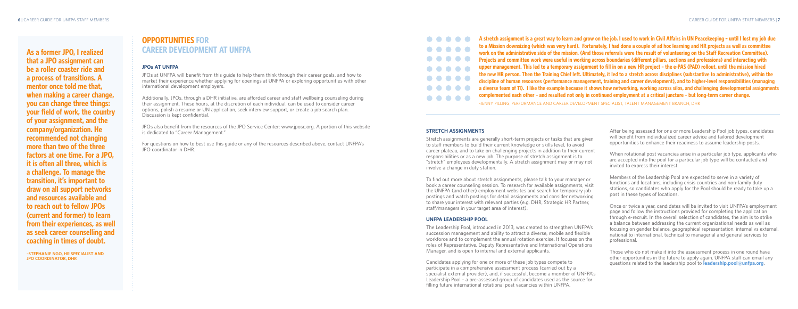After being assessed for one or more Leadership Pool job types, candidates will benefit from individualized career advice and tailored development opportunities to enhance their readiness to assume leadership posts.

When rotational post vacancies arise in a particular job type, applicants who are accepted into the pool for a particular job type will be contacted and invited to express their interest.

Members of the Leadership Pool are expected to serve in a variety of functions and locations, including crisis countries and non-family duty stations, so candidates who apply for the Pool should be ready to take up a post in these types of locations.

Once or twice a year, candidates will be invited to visit UNFPA's employment page and follow the instructions provided for completing the application through e-recruit. In the overall selection of candidates, the aim is to strike a balance between addressing the current organizational needs as well as focusing on gender balance, geographical representation, internal vs external, national to international, technical to managerial and general services to professional.

Those who do not make it into the assessment process in one round have other opportunities in the future to apply again. UNFPA staff can email any questions related to the leadership pool to **leadership.pool@unfpa.org**.

#### **STRETCH ASSIGNMENTS**

Stretch assignments are generally short-term projects or tasks that are given to staff members to build their current knowledge or skills level, to avoid career plateau, and to take on challenging projects in addition to their current responsibilities or as a new job. The purpose of stretch assignment is to "stretch" employees developmentally. A stretch assignment may or may not involve a change in duty station.

To find out more about stretch assignments, please talk to your manager or book a career counseling session. To research for available assignments, visit the UNFPA (and other) employment websites and search for temporary job postings and watch postings for detail assignments and consider networking to share your interest with relevant parties (e.g. DHR, Strategic HR Partner, staff/managers in your target area of interest).

**A A** stretch assignment is a great way to learn and grow on the job. I used to work in Civil Affairs in UN Peacekeeping - until I lost my job due **to a Mission downsizing (which was very hard). Fortunately, I had done a couple of ad hoc learning and HR projects as well as committee work on the administrative side of the mission. (And those referrals were the result of volunteering on the Staff Recreation Committee). Projects and committee work were useful in working across boundaries (different pillars, sections and professions) and interacting with upper management. This led to a temporary assignment to fill in on a new HR project – the e-PAS (PAD) rollout, until the mission hired the new HR person. Then the Training Chief left. Ultimately, it led to a stretch across disciplines (substantive to administrative), within the discipline of human resources (performance management, training and career development), and to higher-level responsibilities (managing a diverse team of 11). I like the example because it shows how networking, working across silos, and challenging developmental assignments complemented each other – and resulted not only in continued employment at a critical juncture – but long-term career change.**

### **UNFPA LEADERSHIP POOL**

The Leadership Pool, introduced in 2013, was created to strengthen UNFPA's succession management and ability to attract a diverse, mobile and flexible workforce and to complement the annual rotation exercise. It focuses on the roles of Representative, Deputy Representative and International Operations Manager, and is open to internal and external applicants.

Candidates applying for one or more of these job types compete to participate in a comprehensive assessment process (carried out by a specialist external provider), and, if successful, become a member of UNFPA's Leadership Pool – a pre-assessed group of candidates used as the source for filling future international rotational post vacancies within UNFPA.

-JENNY PILLING, PERFORMANCE AND CAREER DEVELOPMENT SPECIALIST, TALENT MANAGEMENT BRANCH, DHR

# **OPPORTUNITIES FOR CAREER DEVELOPMENT AT UNFPA**

### **JPOs AT UNFPA**

JPOs at UNFPA will benefit from this guide to help them think through their career goals, and how to market their experience whether applying for openings at UNFPA or exploring opportunities with other international development employers.

Additionally, JPOs, through a DHR initiative, are afforded career and staff wellbeing counseling during their assignment. These hours, at the discretion of each individual, can be used to consider career options, polish a resume or UN application, seek interview support, or create a job search plan. Discussion is kept confidential.

JPOs also benefit from the resources of the JPO Service Center: www.jposc.org. A portion of this website is dedicated to "Career Management."

For questions on how to best use this guide or any of the resources described above, contact UNFPA's JPO coordinator in DHR.



**As a former JPO, I realized that a JPO assignment can be a roller coaster ride and a process of transitions. A mentor once told me that, when making a career change, you can change three things: your field of work, the country of your assignment, and the company/organization. He recommended not changing more than two of the three factors at one time. For a JPO, it is often all three, which is a challenge. To manage the transition, it's important to draw on all support networks and resources available and to reach out to fellow JPOs (current and former) to learn from their experiences, as well as seek career counselling and coaching in times of doubt.**

**–STEPHANIE NGO, HR SPECIALIST AND JPO COORDINATOR, DHR**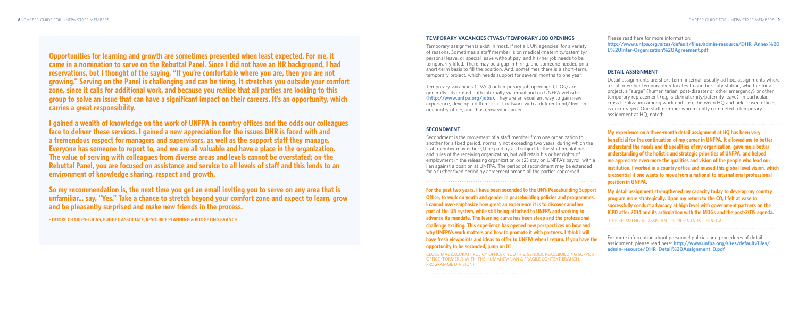Please read here for more information: **http://www.unfpa.org/sites/default/files/admin-resource/DHR\_Annex%20 I.%20Inter-Organization%20Agreement.pdf**

#### **DETAIL ASSIGNMENT**

Detail assignments are short-term, internal, usually ad hoc, assignments where a staff member temporarily relocates to another duty station, whether for a project, a "surge" (humanitarian, post-disaster or other emergency) or other temporary replacement (e.g. sick/maternity/paternity leave). In particular, cross fertilization among work units, e.g. between HQ and field-based offices, is encouraged. One staff member who recently completed a temporary assignment at HQ, noted:

**My experience on a three-month detail assignment at HQ has been very beneficial for the continuation of my career in UNFPA. It allowed me to better understand the needs and the realities of my organization, gave me a better understanding of the holistic and strategic priorities of UNFPA, and helped me appreciate even more the qualities and vision of the people who lead our institution. I worked in a country office and missed this global level vision, which is essential if one wants to move from a national to international professional position in UNFPA.**

**ICPD after 2014 and its articulation with the MDGs and the post-2015 agenda.**

### **TEMPORARY VACANCIES (TVAS)/TEMPORARY JOB OPENINGS**

Temporary assignments exist in most, if not all, UN agencies, for a variety of reasons. Sometimes a staff member is on medical/maternity/paternity/ personal leave, or special leave without pay, and his/her job needs to be temporarily filled. There may be a gap in hiring, and someone needed on a short-term basis to fill the position. And, sometimes there is a short-term, temporary project, which needs support for several months to one year.

Temporary vacancies (TVAs) or temporary job openings (TJOs) are generally advertised both internally via email and on UNFPA website (**http://www.unfpa.org/jobs**). They are an excellent way to gain new experience, develop a different skill, network with a different unit/division or country office, and thus grow your career.

**My detail assignment strengthened my capacity today to develop my country program more strategically. Upon my return to the CO, I felt at ease to successfully conduct advocacy at high level with government partners on the**  -CHEIKH MBENGUE, ASSISTANT REPRESENTATIVE, SENEGAL For more information about personnel policies and procedures of detail assignment, please read here: **http://www.unfpa.org/sites/default/files/ admin-resource/DHR\_Detail%20Assignment\_0.pdf For the past two years, I have been seconded to the UN's Peacebuilding Support Office, to work on youth and gender in peacebuilding policies and programmes. I cannot over-emphasize how great an experience it is to discover another part of the UN system, while still being attached to UNFPA and working to advance its mandate. The learning curve has been steep and the professional challenge exciting. This experience has opened new perspectives on how and why UNFPA's work matters and how to promote it with partners. I think I will have fresh viewpoints and ideas to offer to UNFPA when I return. If you have the opportunity to be seconded, jump on it!** CECILE MAZZACURATI, POLICY OFFICER, YOUTH & GENDER, PEACEBUILDING SUPPORT

### **SECONDMENT**

Secondment is the movement of a staff member from one organization to another for a fixed period, normally not exceeding two years, during which the staff member may either (1) be paid by and subject to the staff regulations and rules of the receiving organization, but will retain his or her rights of employment in the releasing organization or (2) stay on UNFPA's payroll with a lien against a position at UNFPA. The period of secondment may be extended for a further fixed period by agreement among all the parties concerned.

OFFICE (FORMERLY WITH THE HUMANITARIAN & FRAGILE CONTEXT BRANCH,

PROGRAMME DIVISION)

**Opportunities for learning and growth are sometimes presented when least expected. For me, it came in a nomination to serve on the Rebuttal Panel. Since I did not have an HR background, I had reservations, but I thought of the saying, "If you're comfortable where you are, then you are not growing." Serving on the Panel is challenging and can be tiring. It stretches you outside your comfort zone, since it calls for additional work, and because you realize that all parties are looking to this group to solve an issue that can have a significant impact on their careers. It's an opportunity, which carries a great responsibility.**

**I gained a wealth of knowledge on the work of UNFPA in country offices and the odds our colleagues face to deliver these services. I gained a new appreciation for the issues DHR is faced with and a tremendous respect for managers and supervisors, as well as the support staff they manage. Everyone has someone to report to, and we are all valuable and have a place in the organization. The value of serving with colleagues from diverse areas and levels cannot be overstated; on the Rebuttal Panel, you are focused on assistance and service to all levels of staff and this lends to an environment of knowledge sharing, respect and growth.**

**So my recommendation is, the next time you get an email inviting you to serve on any area that is unfamiliar… say, "Yes." Take a chance to stretch beyond your comfort zone and expect to learn, grow and be pleasantly surprised and make new friends in the process.** 

**- DEIDRE CHARLES-LUCAS, BUDGET ASSOCIATE, RESOURCE PLANNING & BUDGETING BRANCH**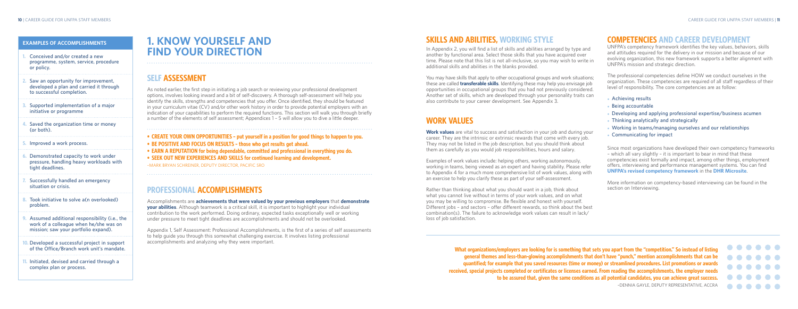# **COMPETENCIES AND CAREER DEVELOPMENT**

UNFPA's competency framework identifies the key values, behaviors, skills and attitudes required for the delivery in our mission and because of our evolving organization, this new framework supports a better alignment with UNFPA's mission and strategic direction.

The professional competencies define HOW we conduct ourselves in the organization. These competencies are required of all staff regardless of their level of responsibility. The core competencies are as follow:

- ● **Achieving results**
- ● **Being accountable**
- Developing and applying professional expertise/business acumen
- **Thinking analytically and strategically**
- Working in teams/managing ourselves and our relationships
- ● **Communicating for impact**

Since most organizations have developed their own competency frameworks – which all vary slightly – it is important to bear in mind that these competencies exist formally and impact, among other things, employment offers, interviewing and performance management systems. You can find **UNFPA's revised competency framework** in the **DHR Microsite**.

Work values are vital to success and satisfaction in your job and during your career. They are the intrinsic or extrinsic rewards that come with every job. They may not be listed in the job description, but you should think about them as carefully as you would job responsibilities, hours and salary.

> More information on competency-based interviewing can be found in the section on Interviewing.

# **SKILLS AND ABILITIES, WORKING STYLE**

In Appendix 2, you will find a list of skills and abilities arranged by type and another by functional area. Select those skills that you have acquired over time. Please note that this list is not all-inclusive, so you may wish to write in additional skills and abilities in the blanks provided.

You may have skills that apply to other occupational groups and work situations; these are called **transferable skills**. Identifying these may help you envisage job opportunities in occupational groups that you had not previously considered. Another set of skills, which are developed through your personality traits can also contribute to your career development. See Appendix 3.

# **WORK VALUES**

Examples of work values include: helping others, working autonomously, working in teams, being viewed as an expert and having stability. Please refer to Appendix 4 for a much more comprehensive list of work values, along with an exercise to help you clarify these as part of your self-assessment.

Rather than thinking about what you should want in a job, think about what you cannot live without in terms of your work values, and on what you may be willing to compromise. Be flexible and honest with yourself. Different jobs – and sectors – offer different rewards, so think about the best combination(s). The failure to acknowledge work values can result in lack/

loss of job satisfaction.

**What organizations/employers are looking for is something that sets you apart from the "competition." So instead of listing general themes and less-than-glowing accomplishments that don't have "punch," mention accomplishments that can be quantified; for example that you saved resources (time or money) or streamlined procedures. List promotions or awards received, special projects completed or certificates or licenses earned. From reading the accomplishments, the employer needs to be assured that, given the same conditions as all potential candidates, you can achieve great success.**



–DENNIA GAYLE, DEPUTY REPRESENTATIVE, ACCRA

### **EXAMPLES OF ACCOMPLISHMENTS**

- **1. Conceived and/or created a new programme, system, service, procedure or policy.**
- **2. Saw an opportunity for improvement, developed a plan and carried it through to successful completion.**
- **3. Supported implementation of a major initiative or programme**
- **4. Saved the organization time or money (or both).**
- **5. Improved a work process.**
- **6. Demonstrated capacity to work under pressure, handling heavy workloads with tight deadlines.**
- **7. Successfully handled an emergency situation or crisis.**
- **8. Took initiative to solve a(n overlooked) problem.**
- **9. Assumed additional responsibility (i.e., the work of a colleague when he/she was on mission; saw your portfolio expand).**
- **10. Developed a successful project in support of the Office/Branch work unit's mandate.**
- **11. Initiated, devised and carried through a complex plan or process.**

# **1. KNOW YOURSELF AND FIND YOUR DIRECTION**

## **SELF ASSESSMENT**

As noted earlier, the first step in initiating a job search or reviewing your professional development options, involves looking inward and a bit of self-discovery. A thorough self-assessment will help you identify the skills, strengths and competencies that you offer. Once identified, they should be featured in your curriculum vitae (CV) and/or other work history in order to provide potential employers with an indication of your capabilities to perform the required functions. This section will walk you through briefly a number of the elements of self assessment; Appendices 1 – 5 will allow you to dive a little deeper.

- **• CREATE YOUR OWN OPPORTUNITIES put yourself in a position for good things to happen to you.**
- **• BE POSITIVE AND FOCUS ON RESULTS those who get results get ahead.**
- **• EARN A REPUTATION for being dependable, committed and professional in everything you do.**
- **• SEEK OUT NEW EXPERIENCES AND SKILLS for continued learning and development.**

–MARK BRYAN SCHREINER, DEPUTY DIRECTOR, PACIFIC SRO

## **PROFESSIONAL ACCOMPLISHMENTS**

Accomplishments are **achievements that were valued by your previous employers** that **demonstrate your abilities**. Although teamwork is a critical skill, it is important to highlight your individual contribution to the work performed. Doing ordinary, expected tasks exceptionally well or working under pressure to meet tight deadlines are accomplishments and should not be overlooked.

Appendix 1, Self Assessment: Professional Accomplishments, is the first of a series of self assessments to help guide you through this somewhat challenging exercise. It involves listing professional accomplishments and analyzing why they were important.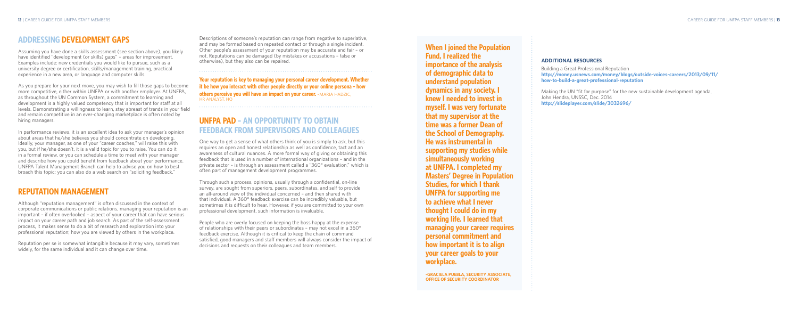#### **ADDITIONAL RESOURCES**

Building a Great Professional Reputation **http://money.usnews.com/money/blogs/outside-voices-careers/2013/09/11/ how-to-build-a-great-professional-reputation**

Making the UN "fit for purpose" for the new sustainable development agenda, John Hendra, UNSSC, Dec. 2014 **http://slideplayer.com/slide/3032696/** 

## **When I joined the Population Fund, I realized the importance of the analysis of demographic data to understand population dynamics in any society. I knew I needed to invest in myself. I was very fortunate that my supervisor at the time was a former Dean of the School of Demography. He was instrumental in supporting my studies while simultaneously working at UNFPA. I completed my Masters' Degree in Population Studies, for which I thank UNFPA for supporting me to achieve what I never thought I could do in my working life. I learned that managing your career requires personal commitment and how important it is to align your career goals to your**

**workplace.**

**-GRACIELA PUEBLA, SECURITY ASSOCIATE, OFFICE OF SECURITY COORDINATOR**

Descriptions of someone's reputation can range from negative to superlative, and may be formed based on repeated contact or through a single incident. Other people's assessment of your reputation may be accurate and fair – or not. Reputations can be damaged (by mistakes or accusations – false or otherwise), but they also can be repaired.

**Your reputation is key to managing your personal career development. Whether it be how you interact with other people directly or your online persona – how others perceive you will have an impact on your career.** -MARIA HADZIC, HR ANALYST, HQ

# **UNFPA PAD – AN OPPORTUNITY TO OBTAIN FEEDBACK FROM SUPERVISORS AND COLLEAGUES**

One way to get a sense of what others think of you is simply to ask, but this requires an open and honest relationship as well as confidence, tact and an awareness of cultural nuances. A more formal way of giving or obtaining this feedback that is used in a number of international organizations – and in the private sector – is through an assessment called a "360° evaluation," which is often part of management development programmes.

Through such a process, opinions, usually through a confidential, on-line survey, are sought from superiors, peers, subordinates, and self to provide an all-around view of the individual concerned – and then shared with that individual. A 360° feedback exercise can be incredibly valuable, but sometimes it is difficult to hear. However, if you are committed to your own professional development, such information is invaluable.

People who are overly focused on keeping the boss happy at the expense of relationships with their peers or subordinates – may not excel in a 360° feedback exercise. Although it is critical to keep the chain of command satisfied, good managers and staff members will always consider the impact of decisions and requests on their colleagues and team members.

# **ADDRESSING DEVELOPMENT GAPS**

Assuming you have done a skills assessment (see section above), you likely have identified "development (or skills) gaps" – areas for improvement. Examples include: new credentials you would like to pursue, such as a university degree or certification, skills/management training, practical experience in a new area, or language and computer skills.

As you prepare for your next move, you may wish to fill those gaps to become more competitive, either within UNFPA or with another employer. At UNFPA, as throughout the UN Common System, a commitment to learning and development is a highly valued competency that is important for staff at all levels. Demonstrating a willingness to learn, stay abreast of trends in your field and remain competitive in an ever-changing marketplace is often noted by hiring managers.

In performance reviews, it is an excellent idea to ask your manager's opinion about areas that he/she believes you should concentrate on developing. Ideally, your manager, as one of your "career coaches," will raise this with you, but if he/she doesn't, it is a valid topic for you to raise. You can do it in a formal review, or you can schedule a time to meet with your manager and describe how you could benefit from feedback about your performance. UNFPA Talent Management Branch can help to advise you on how to best broach this topic; you can also do a web search on "soliciting feedback."

# **REPUTATION MANAGEMENT**

Although "reputation management" is often discussed in the context of corporate communications or public relations, managing your reputation is an important – if often overlooked – aspect of your career that can have serious impact on your career path and job search. As part of the self-assessment process, it makes sense to do a bit of research and exploration into your professional reputation; how you are viewed by others in the workplace.

Reputation per se is somewhat intangible because it may vary, sometimes widely, for the same individual and it can change over time.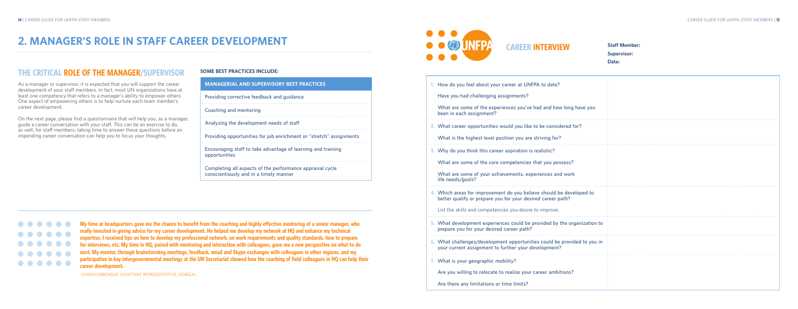| 1. How do you feel about your career at UNFPA to date?<br>Have you had challenging assignments?                                                                                                       |  |
|-------------------------------------------------------------------------------------------------------------------------------------------------------------------------------------------------------|--|
| What are some of the experiences you've had and how long have you<br>been in each assignment?                                                                                                         |  |
| 2. What career opportunities would you like to be considered for?<br>What is the highest level position you are striving for?                                                                         |  |
| 3. Why do you think this career aspiration is realistic?<br>What are some of the core competencies that you possess?<br>What are some of your achievements, experiences and work<br>life needs/goals? |  |
| 4. Which areas for improvement do you believe should be developed to<br>better qualify or prepare you for your desired career path?<br>List the skills and competencies you desire to improve.        |  |
| 5. What development experiences could be provided by the organization to<br>prepare you for your desired career path?                                                                                 |  |
| 6. What challenges/development opportunities could be provided to you in<br>your current assignment to further your development?                                                                      |  |
| 7. What is your geographic mobility?<br>Are you willing to relocate to realize your career ambitions?<br>Are there any limitations or time limits?                                                    |  |

**Staff Member: Supervisor: Date:**

# **CAREER INTERVIEW**

### **SOME BEST PRACTICES INCLUDE:**

| <b>MANAGERIAL AND SUPERVISORY BEST PRACTICES</b>                                                    |
|-----------------------------------------------------------------------------------------------------|
| Providing corrective feedback and quidance                                                          |
| Coaching and mentoring                                                                              |
| Analyzing the development needs of staff                                                            |
| Providing opportunities for job enrichment or "stretch" assignments                                 |
| Encouraging staff to take advantage of learning and training<br>opportunities                       |
| Completing all aspects of the performance appraisal cycle<br>conscientiously and in a timely manner |



**1. How d** 

**2. What** 

**3. Why do** 

**My time at headquarters gave me the chance to benefit from the coaching and highly effective mentoring of a senior manager, who really invested in giving advice for my career development. He helped me develop my network at HQ and enhance my technical**   $0 0 0 0 0 0$ **expertise. I received tips on how to develop my professional network, on work requirements and quality standards, how to prepare**   $\bullet\bullet\bullet\bullet\bullet\bullet$ **for interviews, etc. My time in HQ, paired with mentoring and interaction with colleagues, gave me a new perspective on what to do next. My mentor, through brainstorming meetings, feedback, email and Skype exchanges with colleagues in other regions, and my participation in key intergovernmental meetings at the UN Secretariat showed how the coaching of field colleagues in HQ can help their**   $000000$ **career development.**

-CHEIKH MBENGUE, ASSISTANT REPRESENTATIVE, SENEGAL

# **2. MANAGER'S ROLE IN STAFF CAREER DEVELOPMENT**

## **THE CRITICAL ROLE OF THE MANAGER/SUPERVISOR**

As a manager or supervisor, it is expected that you will support the career development of your staff members. In fact, most UN organizations have at least one competency that refers to a manager's ability to empower others. One aspect of empowering others is to help nurture each team member's career development.

On the next page, please find a questionnaire that will help you, as a manager, guide a career conversation with your staff. This can be an exercise to do, as well, for staff members; taking time to answer these questions before an impending career conversation can help you to focus your thoughts.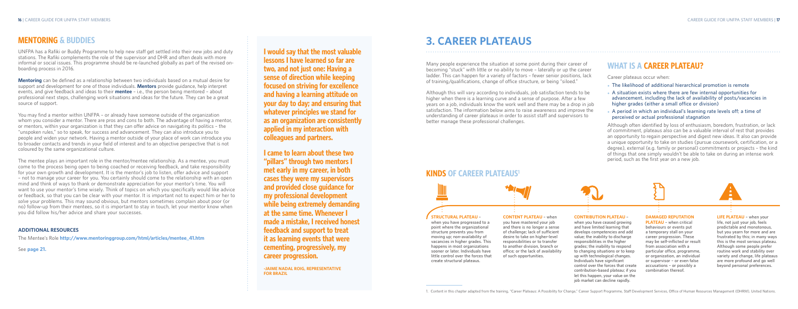# **KINDS OF CAREER PLATEAUS1**



# **3. CAREER PLATEAUS**

# **WHAT IS A CAREER PLATEAU?**

Career plateaus occur when:

- The likelihood of additional hierarchical promotion is remote
- A situation exists where there are few internal opportunities for **advancement, including the lack of availability of posts/vacancies in higher grades (either a small office or division)**
- A period in which an individual's learning rate levels off; a time of **perceived or actual professional stagnation**

Although often identified by loss of enthusiasm, boredom, frustration, or lack of commitment, plateaus also can be a valuable interval of rest that provides an opportunity to regain perspective and digest new ideas. It also can provide a unique opportunity to take on studies (pursue coursework, certification, or a degree), external (e.g. family or personal) commitments or projects – the kind of things that one simply wouldn't be able to take on during an intense work period, such as the first year on a new job.

#### **STRUCTURAL PLATEAU –**

**when you have progressed to a point where the organizational structure prevents you from moving up; non-availability of vacancies in higher grades. This happens in most organizations sooner or later. Individuals have little control over the forces that create structural plateaus.** 

**CONTENT PLATEAU – when you have mastered your job and there is no longer a sense of challenge; lack of sufficient desire to take on higher-level responsibilities or to transfer to another division, branch or office; or the lack of availability of such opportunities.**

#### **CONTRIBUTION PLATEAU –**

**when you have ceased growing and have limited learning that develops competencies and add value; the inability to discharge responsibilities in the higher grades; the inability to respond to changing situations or to keep up with technological changes. Individuals have significant control over the forces that create contribution-based plateau; if you let this happen, your value on the job market can decline rapidly.** 

#### **DAMAGED REPUTATION**

**PLATEAU – when critical behaviours or events put a temporary stall on your career progression. These may be self-inflicted or result from association with a particular office, programme, or organization, an individual or supervisor – or even false accusations – or possibly a combination thereof.** 

**LIFE PLATEAU – when your life, not just your job, feels predictable and monotonous, but you yearn for more and are frustrated by this; in many ways this is the most serious plateau. Although some people prefer routine work and stability over variety and change, life plateaus are more profound and go well beyond personal preferences.**

Many people experience the situation at some point during their career of becoming "stuck" with little or no ability to move – laterally or up the career ladder. This can happen for a variety of factors – fewer senior positions, lack of training/qualifications, change of office structure, or being "siloed."

Although this will vary according to individuals, job satisfaction tends to be higher when there is a learning curve and a sense of purpose. After a few years on a job, individuals know the work well and there may be a drop in job satisfaction. The information below aims to raise awareness and improve the understanding of career plateaus in order to assist staff and supervisors to better manage these professional challenges.

**I would say that the most valuable lessons I have learned so far are two, and not just one: Having a sense of direction while keeping focused on striving for excellence and having a learning attitude on your day to day; and ensuring that whatever principles we stand for as an organization are consistently applied in my interaction with colleagues and partners.**

**I came to learn about these two "pillars" through two mentors I met early in my career, in both cases they were my supervisors and provided close guidance for my professional development while being extremely demanding at the same time. Whenever I made a mistake, I received honest feedback and support to treat it as learning events that were cementing, progressively, my career progression.**

**-JAIME NADAL ROIG, REPRESENTATIVE FOR BRAZIL**



## **MENTORING & BUDDIES**

UNFPA has a Rafiki or Buddy Programme to help new staff get settled into their new jobs and duty stations. The Rafiki complements the role of the supervisor and DHR and often deals with more informal or social issues. This programme should be re-launched globally as part of the revised onboarding process in 2016.

**Mentoring** can be defined as a relationship between two individuals based on a mutual desire for support and development for one of those individuals. **Mentors** provide guidance, help interpret events, and give feedback and ideas to their **mentee** – i.e., the person being mentored – about professional next steps, challenging work situations and ideas for the future. They can be a great source of support.

You may find a mentor within UNFPA – or already have someone outside of the organization whom you consider a mentor. There are pros and cons to both. The advantage of having a mentor, or mentors, within your organization is that they can offer advice on navigating its politics – the "unspoken rules," so to speak, for success and advancement. They can also introduce you to people and widen your network. Having a mentor outside of your place of work can introduce you to broader contacts and trends in your field of interest and to an objective perspective that is not coloured by the same organizational culture.

The mentee plays an important role in the mentor/mentee relationship. As a mentee, you must come to the process being open to being coached or receiving feedback, and take responsibility for your own growth and development. It is the mentor's job to listen, offer advice and support – not to manage your career for you. You certainly should come to the relationship with an open mind and think of ways to thank or demonstrate appreciation for your mentor's time. You will want to use your mentor's time wisely. Think of topics on which you specifically would like advice or feedback, so that you can be clear with your mentor. It is important not to expect him or her to *solve* your problems. This may sound obvious, but mentors sometimes complain about poor (or no) follow-up from their mentees, so it is important to stay in touch, let your mentor know when you did follow his/her advice and share your successes.

#### **ADDITIONAL RESOURCES**

The Mentee's Role **http://www.mentoringgroup.com/html/articles/mentee\_41.htm**

See **page 21.**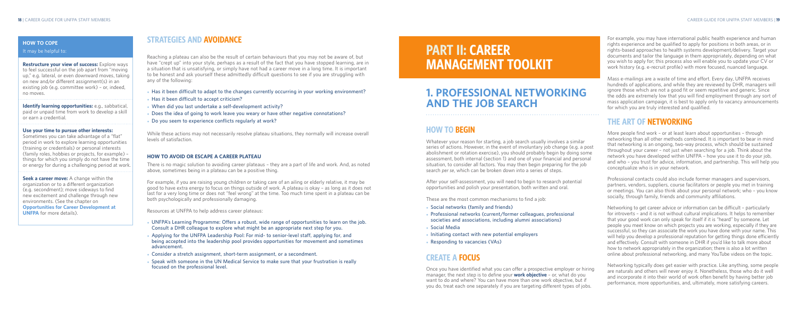For example, you may have international public health experience and human rights experience and be qualified to apply for positions in both areas, or in rights-based approaches to health systems development/delivery. Target your documents and tailor the language in them appropriately, depending on what you wish to apply for; this process also will enable you to update your CV or work history (e.g. e-recruit profile) with more focused, nuanced language.

Mass e-mailings are a waste of time and effort. Every day, UNFPA receives hundreds of applications, and while they are reviewed by DHR, managers will ignore those which are not a good fit or seem repetitive and generic. Since the odds are extremely low that you will find employment through any sort of mass application campaign, it is best to apply only to vacancy announcements for which you are truly interested and qualified.

# **THE ART OF NETWORKING**

More people find work – or at least learn about opportunities – through networking than all other methods combined. It is important to bear in mind that networking is an ongoing, two-way process, which should be sustained throughout your career – not just when searching for a job. Think about the network you have developed within UNFPA – how you use it to do your job, and who – you trust for advice, information, and partnership. This will help you conceptualize who is in your network.

Professional contacts could also include former managers and supervisors, partners, vendors, suppliers, course facilitators or people you met in training or meetings. You can also think about your personal network; who – you know socially, through family, friends and community affiliations.

- ● **Social networks (family and friends)**
- Professional networks (current/former colleagues, professional **societies and associations, including alumni associations)**
	-
- Responding to vacancies (VAs)

- 
- 
- ● **Social Media**
- **Initiating contact with new potential employers**
- 

Networking to get career advice or information can be difficult – particularly for introverts – and it is not without cultural implications. It helps to remember that your good work can only speak for itself if it is "heard" by someone. Let people you meet know on which projects you are working, especially if they are successful, so they can associate the work you have done with your name. This will help you develop a professional reputation for getting things done efficiently and effectively. Consult with someone in DHR if you'd like to talk more about how to network appropriately in the organization; there is also a lot written online about professional networking, and many YouTube videos on the topic.

Networking typically does get easier with practice. Like anything, some people are naturals and others will never enjoy it. Nonetheless, those who do it well and incorporate it into their world of work often benefit by having better job performance, more opportunities, and, ultimately, more satisfying careers.

# **PART II: CAREER MANAGEMENT TOOLKIT**

# **1. PROFESSIONAL NETWORKING AND THE JOB SEARCH**

# **HOW TO BEGIN**

Whatever your reason for starting, a job search usually involves a similar series of actions. However, in the event of involuntary job change (e.g. a post abolishment or rotation exercise), you should probably begin by doing some assessment, both internal (section 1) and one of your financial and personal situation, to consider all factors. You may then begin preparing for the job search *per se*, which can be broken down into a series of steps.

- **UNFPA's Learning Programme: Offers a robust, wide range of opportunities to learn on the job. Consult a DHR colleague to explore what might be an appropriate next step for you.**
- Applying for the UNFPA Leadership Pool: For mid- to senior-level staff, applying for, and **being accepted into the leadership pool provides opportunities for movement and sometimes advancement.**
- Consider a stretch assignment, short-term assignment, or a secondment.
- Speak with someone in the UN Medical Service to make sure that your frustration is really **focused on the professional level.**

After your self-assessment, you will need to begin to research potential opportunities and polish your presentation, both written and oral.

These are the most common mechanisms to find a job:

**Seek a career move:** A change within the organization or to a different organization (e.g. secondment); move sideways to find new excitement and challenge through new environments. (See the chapter on **Opportunities for Career Development at UNFPA** for more details).

# **CREATE A FOCUS**

Once you have identified what you can offer a prospective employer or hiring manager, the next step is to define your **work objective** – or, what do you want to do and where? You can have more than one work objective, but if you do, treat each one separately if you are targeting different types of jobs.

# **STRATEGIES AND AVOIDANCE**

Reaching a plateau can also be the result of certain behaviours that you may not be aware of, but have "crept up" into your style, perhaps as a result of the fact that you have stopped learning, are in a situation that is unsatisfying, or simply have not had a career move in a long time. It is important to be honest and ask yourself these admittedly difficult questions to see if you are struggling with any of the following:

- Has it been difficult to adapt to the changes currently occurring in your working environment?
- Has it been difficult to accept criticism?
- When did you last undertake a self-development activity?
- Does the idea of going to work leave you weary or have other negative connotations?
- Do you seem to experience conflicts regularly at work?

While these actions may not necessarily resolve plateau situations, they normally will increase overall levels of satisfaction.

### **HOW TO AVOID OR ESCAPE A CAREER PLATEAU**

There is no magic solution to avoiding career plateaus – they are a part of life and work. And, as noted above, sometimes being in a plateau can be a positive thing.

For example, if you are raising young children or taking care of an ailing or elderly relative, it may be good to have extra energy to focus on things outside of work. A plateau is okay – as long as it does not last for a very long time or does not "feel wrong" at the time. Too much time spent in a plateau can be both psychologically and professionally damaging.

Resources at UNFPA to help address career plateaus:

### **HOW TO COPE**

It may be helpful to:

**Restructure your view of success:** Explore ways to feel successful on the job apart from "moving up," e.g. lateral, or even downward moves, taking on new and/or different assignment(s) in an existing job (e.g. committee work) – or, indeed, no moves.

**Identify learning opportunities:** e.g., sabbatical, paid or unpaid time from work to develop a skill or earn a credential.

#### **Use your time to pursue other interests:**

Sometimes you can take advantage of a "flat" period in work to explore learning opportunities (training or credentials) or personal interests (family roles, hobbies or projects, for example) – things for which you simply do not have the time or energy for during a challenging period at work.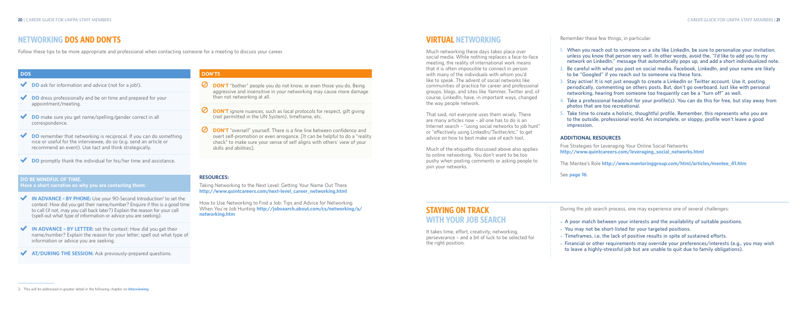# **STAYING ON TRACK WITH YOUR JOB SEARCH**

It takes time, effort, creativity, networking, perseverance – and a bit of luck to be selected for the right position.

Remember these few things, in particular:

- **1. When you reach out to someone on a site like LinkedIn, be sure to personalize your invitation, unless you know that person very well. In other words, avoid the, "I'd like to add you to my network on LinkedIn," message that automatically pops up, and add a short individualized note.**
- **2. Be careful with what you post on social media. Facebook, LinkedIn, and your name are likely to be "Googled" if you reach out to someone via these fora.**
- **3. Stay active! It is not just enough to create a LinkedIn or Twitter account. Use it, posting periodically, commenting on others posts. But, don't go overboard. Just like with personal networking, hearing from someone too frequently can be a "turn off" as well.**
- **4. Take a professional headshot for your profile(s). You can do this for free, but stay away from photos that are too recreational.**
- **5. Take time to create a holistic, thoughtful profile. Remember, this represents who you are to the outside, professional world. An incomplete, or sloppy, profile won't leave a good impression.**

- A poor match between your interests and the availability of suitable positions.
- You may not be short-listed for your targeted positions.
- Timeframes, i.e. the lack of positive results in spite of sustained efforts.
- Financial or other requirements may override your preferences/interests (e.g., you may wish **to leave a highly-stressful job but are unable to quit due to family obligations).**

#### **ADDITIONAL RESOURCES**

Five Strategies for Leveraging Your Online Social Networks **http://www.quintcareers.com/leveraging\_social\_networks.html**

The Mentee's Role **http://www.mentoringgroup.com/html/articles/mentee\_41.htm**

See **page 16**.

During the job search process, one may experience one of several challenges:

- **DON'T** "bother" people you do not know, or even those you do. Being aggressive and insensitive in your networking may cause more damage than not networking at all.
- **DON'T** ignore nuances, such as local protocols for respect, gift giving (not permitted in the UN System), timeframe, etc.
- **DON'T** "oversell" yourself. There is a fine line between confidence and overt self-promotion or even arrogance. [It can be helpful to do a "reality check" to make sure your sense of self aligns with others' view of your skills and abilities].

# **VIRTUAL NETWORKING**

Much networking these days takes place over social media. While nothing replaces a face-to-face meeting, the reality of international work means that it is often impossible to connect in person with many of the individuals with whom you'd like to speak. The advent of social networks like communities of practice for career and professional groups, blogs, and sites like Yammer, Twitter and, of course, LinkedIn, have, in important ways, changed the way people network.

- ◆ **IN ADVANCE BY PHONE:** Use your 90-Second Introduction<sup>2</sup> to set the context: How did you get their name/number? Enquire if this is a good time to call (if not, may you call back later?) Explain the reason for your call (spell out what type of information or advice you are seeking).
- **IN ADVANCE BY LETTER:** set the context: How did you get their name/number? Explain the reason for your letter; spell out what type of information or advice you are seeking.

That said, not everyone uses them wisely. There are many articles now – all one has to do is an Internet search – "using social networks to job hunt" or "effectively using LinkedIn/Twitter/etc." to get advice on how to best make use of each tool.

Much of the etiquette discussed above also applies to online networking. You don't want to be too pushy when posting comments or asking people to

join your networks.

# **NETWORKING DOS AND DON'TS**

Follow these tips to be more appropriate and professional when contacting someone for a meeting to discuss your career.

#### **RESOURCES:**

Taking Networking to the Next Level: Getting Your Name Out There **http://www.quintcareers.com/next-level\_career\_networking.html**

How to Use Networking to Find a Job: Tips and Advice for Networking When You're Job Hunting **http://jobsearch.about.com/cs/networking/a/ networking.htm**

### **DON'TS**

#### **DOS**

- ◆ **DO** ask for information and advice (not for a job!).
- **DO** dress professionally and be on time and prepared for your  $\blacktriangledown$ appointment/meeting.
- **DO** make sure you get name/spelling/gender correct in all correspondence.
- **DO** remember that networking is reciprocal. If you can do something nice or useful for the interviewee, do so (e.g. send an article or recommend an event). Use tact and think strategically.
- ◆ **DO** promptly thank the individual for his/her time and assistance.

#### **DO BE MINDFUL OF TIME.**

**Have a short narrative on why you are contacting them:**

**AT/DURING THE SESSION:** Ask previously-prepared questions.

<sup>2.</sup> This will be addressed in greater detail in the following chapter on **Interviewing**.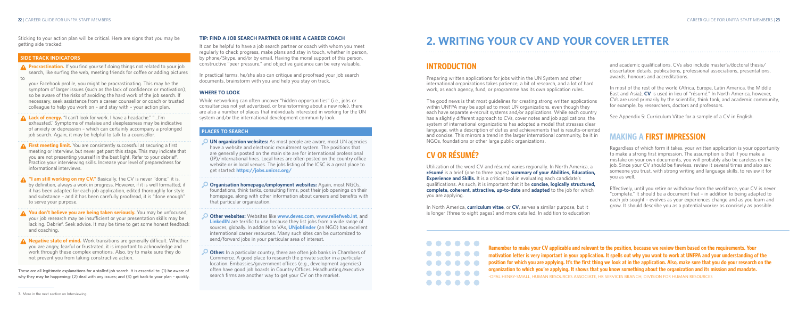and academic qualifications, CVs also include master's/doctoral thesis/ dissertation details, publications, professional associations, presentations, awards, honours and accreditations.

In most of the rest of the world (Africa, Europe, Latin America, the Middle East and Asia), **CV** is used in lieu of "résumé." In North America, however, CVs are used primarily by the scientific, think tank, and academic community, for example, by researchers, doctors and professors.

See Appendix 5: Curriculum Vitae for a sample of a CV in English.

# **MAKING A FIRST IMPRESSION**

Regardless of which form it takes, your written application is your opportunity to make a strong first impression. The assumption is that if you make a mistake on your own documents, you will probably also be careless on the job. Since your CV should be flawless, review it several times and also ask someone you trust, with strong writing and language skills, to review it for you as well.

Effectively, until you retire or withdraw from the workforce, your CV is never "complete." It should be a document that – in addition to being adapted to each job sought – evolves as your experiences change and as you learn and grow. It should describe you as a potential worker as concisely as possible.

# **2. WRITING YOUR CV AND YOUR COVER LETTER**

# **INTRODUCTION**

Preparing written applications for jobs within the UN System and other international organizations takes patience, a bit of research, and a lot of hard work, as each agency, fund, or programme has its own application rules.

The good news is that most guidelines for creating strong written applications within UNFPA may be applied to most UN organizations, even though they each have separate e-recruit systems and/or applications. While each country has a slightly different approach to CVs, cover notes and job applications, the system of international organizations has adopted a model that stresses clear language, with a description of duties and achievements that is results-oriented and concise. This mirrors a trend in the larger international community, be it in NGOs, foundations or other large public organizations.

# **CV OR RÉSUMÉ?**

Utilization of the word CV and résumé varies regionally. In North America, a **résumé** is a brief (one to three pages) **summary of your Abilities, Education, Experience and Skills.** It is a critical tool in evaluating each candidate's qualifications. As such, it is important that it be **concise, logically structured, complete, coherent, attractive, up-to-date** and **adapted** to the job for which you are applying.

In North America, **curriculum vitae**, or **CV**, serves a similar purpose, but it is longer (three to eight pages) and more detailed. In addition to education

> **Remember to make your CV applicable and relevant to the position, because we review them based on the requirements. Your motivation letter is very important in your application. It spells out why you want to work at UNFPA and your understanding of the position for which you are applying. It's the first thing we look at in the application. Also, make sure that you do your research on the organization to which you're applying. It shows that you know something about the organization and its mission and mandate.** -OPAL HENRY-SMALL, HUMAN RESOURCES ASSOCIATE, HR SERVICES BRANCH, DIVISION FOR HUMAN RESOURCES

#### **TIP: FIND A JOB SEARCH PARTNER OR HIRE A CAREER COACH**

It can be helpful to have a job search partner or coach with whom you meet regularly to check progress, make plans and stay in touch, whether in person, by phone/Skype, and/or by email. Having the moral support of this person, constructive "peer pressure," and objective guidance can be very valuable.

A Negative state of mind. Work transitions are generally difficult. Whether you are angry, fearful or frustrated, it is important to acknowledge and work through these complex emotions. Also, try to make sure they do not prevent you from taking constructive action.

In practical terms, he/she also can critique and proofread your job search documents, brainstorm with you and help you stay on track.

#### **WHERE TO LOOK**

While networking can often uncover "hidden opportunities" (i.e., jobs or consultancies not yet advertised, or brainstorming about a new role), there are also a number of places that individuals interested in working for the UN system and/or the international development community look.

### **PLACES TO SEARCH**

- **UN organization websites:** As most people are aware, most UN agencies have a website and electronic recruitment system. The positions that are generally posted on the main site are for international professional (IP)/international hires. Local hires are often posted on the country office website or in local venues. The jobs listing of the ICSC is a great place to get started: **https://jobs.unicsc.org/**
- **Organisation homepage/employment websites:** Again, most NGOs, foundations, think tanks, consulting firms, post their job openings on their homepage, along with other information about careers and benefits with that particular organization.
- **Other websites:** Websites like **www.devex.com**, **www.reliefweb.int**, and **LinkedIN** are terrific to use because they list jobs from a wide range of sources, globally. In addition to VAs, **UNjobfinder** (an NGO) has excellent international career resources. Many such sites can be customized to send/forward jobs in your particular area of interest.
- **Other:** In a particular country, there are often job banks in Chambers of Commerce. A good place to research the private sector in a particular location. Embassies/government offices (e.g., development agencies) often have good job boards in Country Offices. Headhunting/executive search firms are another way to get your CV on the market.

Sticking to your action plan will be critical. Here are signs that you may be getting side tracked:

### **SIDE TRACK INDICATORS**

your Facebook profile, you might be procrastinating. This may be the symptom of larger issues (such as the lack of confidence or motivation), so be aware of the risks of avoiding the hard work of the job search. If necessary, seek assistance from a career counsellor or coach or trusted colleague to help you work on – and stay with – your action plan.

- **Lack of energy.** "I can't look for work. I have a headache." "…I'm exhausted." Symptoms of malaise and sleeplessness may be indicative of anxiety or depression – which can certainly accompany a prolonged job search. Again, it may be helpful to talk to a counsellor.
- **A** First meeting limit. You are consistently successful at securing a first meeting or interview, but never get past this stage. This may indicate that you are not presenting yourself in the best light. Refer to your debrief3 . Practice your interviewing skills. Increase your level of preparedness for informational interviews.
- **A** "I am still working on my CV." Basically, the CV is never "done;" it is, by definition, always a work in progress. However, if it is well formatted, if it has been adapted for each job application, edited thoroughly for style and substance – and it has been carefully proofread, it is "done enough" to serve your purpose.
- **You don't believe you are being taken seriously.** You may be unfocused, your job research may be insufficient or your presentation skills may be lacking. Debrief. Seek advice. It may be time to get some honest feedback and coaching.

**These are all legitimate explanations for a stalled job search. It is essential to: (1) be aware of why they may be happening; (2) deal with any issues; and (3) get back to your plan – quickly.**

3. More in the next section on Interviewing.

**A** Procrastination. If you find yourself doing things not related to your job search, like surfing the web, meeting friends for coffee or adding pictures  $t_{\Omega}$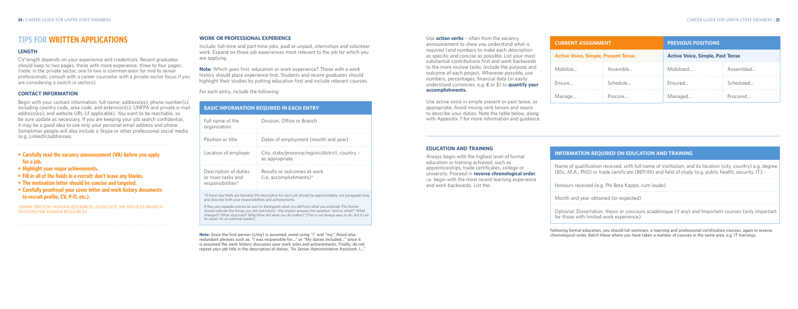### **EDUCATION AND TRAINING**

Always begin with the highest level of formal education or training achieved, such as apprenticeships, trade certificates, college or university. Proceed in **reverse chronological order**, i.e. begin with the most recent learning experience and work backwards. List the:

Use **action verbs** – often from the vacancy announcement to show you understand what is required (and numbers to make each description as specific and concise as possible. List your most substantial contributions first and work backwards to the more routine tasks. Include the purpose and outcome of each project. Wherever possible, use numbers, percentages, financial data (in easily understood currencies, e.g. € or \$) to **quantify your accomplishments.** 

Use active voice in simple present or past tense, as appropriate. Avoid mixing verb tenses and nouns to describe your duties. Note the table below, along with Appendix 7 for more information and guidance.

| <b>CURRENT ASSIGNMENT</b>                  |          | <b>PREVIOUS POSITIONS</b>               |           |
|--------------------------------------------|----------|-----------------------------------------|-----------|
| <b>Active Voice, Simple, Present Tense</b> |          | <b>Active Voice, Simple, Past Tense</b> |           |
| Mobilize                                   | Assemble | Mobilized                               | Assembled |
| Ensure                                     | Schedule | Ensured                                 | Scheduled |
| Manage                                     | Procure  | Managed                                 | Procured  |

#### **INFORMATION REQUIRED ON EDUCATION AND TRAINING**

Name of qualification received, with full name of institution, and its location (city, country) e.g. degree (BSc, M.A., PhD) or trade certificate (BEP/M) and field of study (e.g. public health, security, IT).

Honours received (e.g. Phi Beta Kappa, cum laude)

Month and year obtained (or expected)

Optional: Dissertation, thesis or concours académique (if any) and Important courses (only important for those with limited work experience).

**Following formal education, you should list seminars, e-learning and professional certification courses, again in reverse chronological order. Batch these where you have taken a number of courses in the same area, e.g. IT trainings.** 

### **WORK OR PROFESSIONAL EXPERIENCE**

Include: full-time and part-time jobs, paid or unpaid, internships and volunteer work. Expand on those job experiences most relevant to the job for which you are applying.

**Note:** Which goes first, education or work experience? Those with a work history should place experience first. Students and recent graduates should highlight their studies by putting education first and include relevant courses.

For each entry, include the following:

|                                                                 | <b>BASIC INFORMATION REQUIRED IN EACH ENTRY</b>                   |
|-----------------------------------------------------------------|-------------------------------------------------------------------|
| Full name of the<br>organization                                | Division. Office or Branch                                        |
| Position or title                                               | Dates of employment (month and year)                              |
| Location of employer                                            | City, state/province/region/district, country -<br>as appropriate |
| Description of duties<br>or main tasks and<br>responsibilities* | Results or outcomes at work<br>$(i.e. accomplisments)^*$          |
|                                                                 |                                                                   |

\*If these two fields are blended, the description for each job should be approximately one paragraph long and describe both your responsibilities and achievements.

If they are separate entries be sure to distinguish what you *did* from what you *achieved*. The former should indicate the things you did (activities) – the impact answers the question "and so what?" What changed? What improved? Why/How did what you do matter? [This is not always easy to do, but it can be easier for an external reader].

**Note: Since the first person (I/my) is assumed, avoid using "I" and "my." Avoid also redundant phrases such as, "I was responsible for…" or "My duties included…" since it is assumed the work history discusses your work roles and achievements. Finally, do not repeat your job title in the description of duties, "As Senior Administrative Assistant, I…"**

# **TIPS FOR WRITTEN APPLICATIONS**

### **LENGTH**

CV length depends on your experience and credentials. Recent graduates should keep to two pages, those with more experience, three to four pages. (note: in the private sector, one to two is common even for mid to senior professionals; consult with a career counselor with a private sector focus if you are considering a switch in sectors).

#### **CONTACT INFORMATION**

Begin with your contact information: full name; address(es); phone number(s), including country code, area code, and extension(s); UNFPA and private e-mail address(es); and website URL (if applicable). You want to be reachable, so be sure update as necessary. If you are keeping your job search confidential, it may be a good idea to use only your personal email address and phone. Sometimes people will also include a Skype or other professional social media (e.g. LinkedIn)addresses.

**• Carefully read the vacancy announcement (VA) before you apply for a job.**

- **• Highlight your major achievements.**
- **• Fill in all of the fields in e-recruit; don't leave any blanks.**
- **• The motivation letter should be concise and targeted.**
- **• Carefully proofread your cover letter and work history documents (e-recruit profile, CV, P-11, etc.).**

-EMMY ERICSON, HUMAN RESOURCES ASSOCIATE, HR SERVICES BRANCH, DIVISION FOR HUMAN RESOURCES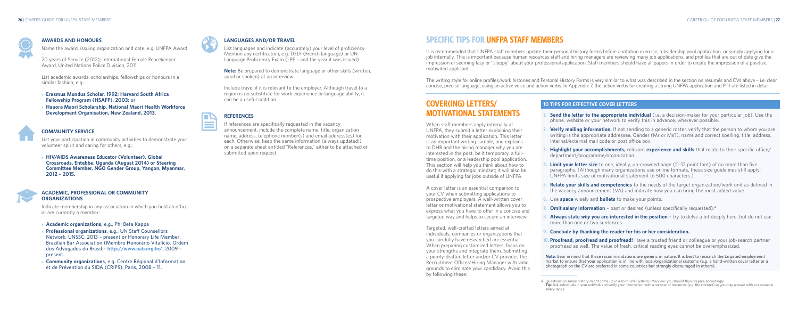

### **10 TIPS FOR EFFECTIVE COVER LETTERS**

- **1. Send the letter to the appropriate individual** (i.e. a decision-maker for your particular job). Use the phone, website or your network to verify this in advance, wherever possible.
- **2. Verify mailing information.** If not sending to a generic roster, verify that the person to whom you are writing is the appropriate addressee. Gender (Mr or Ms?), name and correct spelling, title, address, internal/external mail code or post office box.
- **3. Highlight your accomplishments,** relevant **experience and skills** that relate to their specific office/ department/programme/organization.
- **4. Limit your letter size** to one, ideally, un-crowded page (11–12 point font) of no more than five paragraphs. (Although many organizations use online formats, these size guidelines still apply; UNFPA limits size of motivational statement to 500 characters.)
- **5. Relate your skills and competencies** to the needs of the target organization/work unit as defined in the vacancy announcement (VA) and indicate how you can bring the most added value.
- **6.** Use **space** wisely and **bullets** to make your points.
- **7. Omit salary information** past or desired (unless specifically requested).**<sup>4</sup>**
- **8. Always state** *why* **you are interested in the position –** try to delve a bit deeply here, but do not use more than one or two sentences.
- **9. Conclude by thanking the reader for his or her consideration.**
- **10. Proofread, proofread and proofread!** Have a trusted friend or colleague or your job-search partner proofread as well. The value of fresh, critical reading eyes cannot be overemphasized.

**Note: Bear in mind that these recommendations are generic in nature. It is best to research the targeted employment market to ensure that your application is in line with local/organizational customs (e.g. a hand-written cover letter or a photograph on the CV are preferred in some countries but strongly discouraged in others).** 

# **COVER(ING) LETTERS/ MOTIVATIONAL STATEMENTS**

- **Erasmus Mundus Scholar, 1992; Harvard South Africa Fellowship Program (HSAFP), 2003; or**
- **Hauora Maori Scholarship, National Maori Health Workforce Development Organisation, New Zealand, 2013.**



When staff members apply internally at UNFPA, they submit a letter explaining their motivation with their application. This letter is an important writing sample, and explains to DHR and the hiring manager why you are interested in the post, be it temporary, a fulltime position, or a leadership pool application. This section will help you think about how to do this with a strategic mindset; it will also be useful if applying for jobs outside of UNFPA.

**• HIV/AIDS Awareness Educator (Volunteer), Global Crossroads, Entebbe, Uganda (August 2014) or Steering Committee Member, NGO Gender Group, Yangon, Myanmar, 2012 – 2015.**



- **Professional organizations**, e.g., UN Staff Counsellors **Network, UNSSC, 2013 – present or Honorary Life Member, Brazilian Bar Association (Membro Honorário Vitalício, Ordem dos Advogados do Brasil – http://www.oab.org.br/, 2009 – present.**
- **Community organizations**, e.g. Centre Régional d'Information **et de Prévention du SIDA (CRIPS), Paris, 2008 – 11.**



A cover letter is an essential companion to your CV when submitting applications to prospective employers. A well-written cover letter or motivational statement allows you to express what you have to offer in a concise and targeted way and helps to secure an interview.

Targeted, well-crafted letters aimed at individuals, companies or organizations that you carefully have researched are essential. When preparing customized letters, focus on your strengths and integrate them. Submitting a poorly-drafted letter and/or CV provides the Recruitment Officer/Hiring Manager with valid grounds to eliminate your candidacy. Avoid this by following these:

# **SPECIFIC TIPS FOR UNFPA STAFF MEMBERS**

It is recommended that UNFPA staff members update their personal history forms before a rotation exercise, a leadership pool application, or simply applying for a job internally. This is important because human resources staff and hiring managers are reviewing many job applications, and profiles that are out of date give the impression of seeming lazy or "sloppy" about your professional application. Staff members should have all papers in order to create the impression of a positive,

motivated applicant.

The writing style for online profiles/work histories and Personal History Forms is very similar to what was described in the section on résumés and CVs above – i.e. clear, concise, precise language, using an active voice and action verbs. In Appendix 7, the action verbs for creating a strong UNFPA application and P-11 are listed in detail.

### **AWARDS AND HONOURS**

Name the award, issuing organization and date, e.g. UNFPA Award

–

20 years of Service (2012); International Female Peacekeeper Award, United Nations Police Division, 2011.

List academic awards, scholarships, fellowships or honours in a similar fashion, e.g.:

### **COMMUNITY SERVICE**

List your participation in community activities to demonstrate your volunteer spirit and caring for others, e.g.:

### **ACADEMIC, PROFESSIONAL OR COMMUNITY ORGANIZATIONS**

Indicate membership in any association in which you hold an office or are currently a member:

### ● **Academic organizations, e.g., Phi Beta Kappa**

### **LANGUAGES AND/OR TRAVEL**

List languages and indicate (accurately) your level of proficiency. Mention any certification, e.g. DELF (French language) or UN Language Proficiency Exam (LPE – and the year it was issued).

**Note:** Be prepared to demonstrate language or other skills (written, aural or spoken) at an interview.

Include travel if it is relevant to the employer. Although travel to a region is no substitute for work experience or language ability, it can be a useful addition.

### **REFERENCES**

If references are specifically requested in the vacancy announcement, include the complete name, title, organization name, address, telephone number(s) and email address(es) for each. Otherwise, keep the same information (always updated!) on a separate sheet entitled "References," either to be attached or submitted upon request.

<sup>4.</sup> Questions on salary history might come up in a (non-UN-System) interview: you should thus prepare accordingly. **Tip:** Ask individuals in your network and verify your information with a number of resources (e.g. the internet) so you may answer with a reasonable salary range.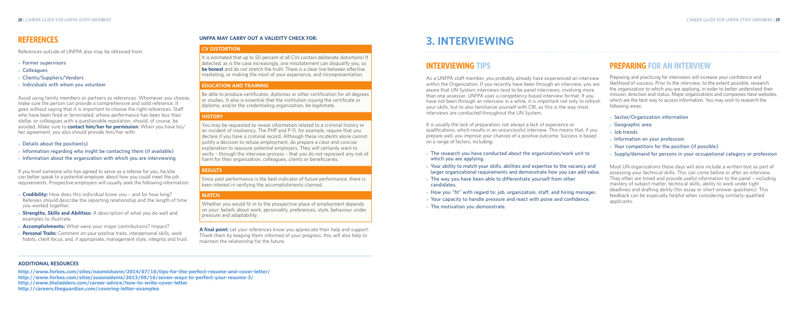# **PREPARING FOR AN INTERVIEW**

Preparing and practicing for interviews will increase your confidence and likelihood of success. Prior to the interview, to the extent possible, research the organization to which you are applying, in order to better understand their mission, direction and status. Major organizations and companies have websites, which are the best way to access information. You may wish to research the following areas:

- ● **Sector/Organization information**
- ● **Geographic area**
- ● **Job trends**

- **Information on your profession**
- ● **Your competitors for the position (if possible)**
- Supply/demand for persons in your occupational category or profession

Most UN organizations these days will also include a written test as part of assessing your technical skills. This can come before or after an interview. They often are timed and provide useful information to the panel – including mastery of subject matter, technical skills, ability to work under tight deadlines and drafting ability (for essay or short-answer questions). This feedback can be especially helpful when considering similarly-qualified applicants.

- 
- 
- **candidates.**
- ● **How you "fit" with regard to: job, organization, staff, and hiring manager.** ● **Your capacity to handle pressure and react with poise and confidence.** • The motivation you demonstrate.
- 
- 

# **3. INTERVIEWING**

# **INTERVIEWING TIPS**

As a UNFPA staff member, you probably already have experienced an interview within the Organization. If you recently have been through an interview, you are aware that UN System interviews tend to be panel interviews, involving more than one assessor. UNFPA uses a competency-based interview format. If you have not been through an interview in a while, it is important not only to refresh your skills, but to also familiarize yourself with CBI, as this is the way most interviews are conducted throughout the UN System.

It is usually the lack of preparation, not always a lack of experience or qualifications, which results in an unsuccessful interview. This means that, if you prepare well, you improve your chances of a positive outcome. Success is based on a range of factors, including:

- The research you have conducted about the organization/work unit to **which you are applying.**
- Your ability to match your skills, abilities and expertise to the vacancy and **larger organizational requirements and demonstrate how you can add value.**
- The way you have been able to differentiate yourself from other
- ● **Details about the position(s)**
- **Information regarding who might be contacting them (if available)**
- Information about the organization with which you are interviewing

### **UNFPA MAY CARRY OUT A VALIDITY CHECK FOR:**

### **CV DISTORTION**

It is estimated that up to 50 percent of all CVs contain deliberate distortions! If detected, as is the case increasingly, one misstatement can disqualify you, so **be honest** and do not stretch the truth. There is a clear line between effective marketing, or making the most of your experience, and misrepresentation.

- **Credibility:** How does this individual know you and for how long? Referees should describe the reporting relationship and the length of time you worked together.
- **Strengths, Skills and Abilities:** A description of what you do well and examples to illustrate.
- Accomplishments: What were your major contributions? Impact?
- Personal Traits: Comment on your positive traits, interpersonal skills, work habits, client focus, and, if appropriate, management style, integrity and trust.

#### **EDUCATION AND TRAINING**

Be able to produce certificates, diplomas or other certification for all degrees or studies. It also is essential that the institution issuing the certificate or diploma, and/or the credentialing organization, be legitimate.

### **HISTORY**

You may be requested to reveal information related to a criminal history or an incident of insolvency. The PHP and P-11, for example, require that you declare if you have a criminal record. Although these incidents alone cannot justify a decision to refuse employment, do prepare a clear and concise explanation to reassure potential employers. They will certainly want to verify – through the interview process – that you do not represent any risk of harm for their organization, colleagues, clients or beneficiaries.

#### **RESULTS**

Since past performance is the best indicator of future performance, there is keen interest in verifying the accomplishments claimed.

### **MATCH**

Whether you would fit in to the prospective place of employment depends on your: beliefs about work, personality, preferences, style, behaviour under pressure and adaptability.

**A final point:** Let your references know you appreciate their help and support. Thank them by keeping them informed of your progress; this will also help to maintain the relationship for the future.

# **REFERENCES**

References outside of UNFPA also may be obtained from:

- ● **Former supervisors**
- ● **Colleagues**
- ● **Clients/Suppliers/Vendors**
- ● **Individuals with whom you volunteer**

Avoid using family members or partners as references. Whomever you choose, make sure the person can provide a comprehensive and solid reference. It goes without saying that it is important to choose the right references. Staff who have been fired or terminated, whose performance has been less than stellar, or colleagues with a questionable reputation, should, of course, be avoided. Make sure to **contact him/her for permission**. When you have his/ her agreement, you also should provide him/her with:

If you brief someone who has agreed to serve as a referee for you, he/she can better speak to a potential employer about how you could meet the job requirements. Prospective employers will usually seek the following information:

#### **ADDITIONAL RESOURCES**

- **http://www.forbes.com/sites/naomishavin/2014/07/16/tips-for-the-perfect-resume-and-cover-letter/**
- **http://www.forbes.com/sites/susanadams/2013/09/16/seven-ways-to-perfect-your-resume-3/**
- **http://www.theladders.com/career-advice/how-to-write-cover-letter**
- **http://careers.theguardian.com/covering-letter-examples**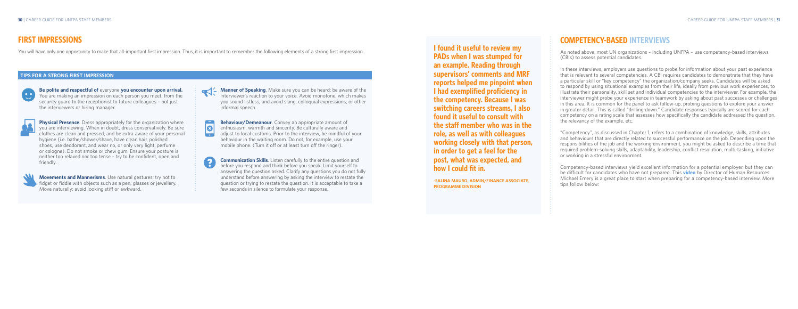# **COMPETENCY-BASED INTERVIEWS**

As noted above, most UN organizations – including UNFPA – use competency-based interviews (CBIs) to assess potential candidates.

In these interviews, employers use questions to probe for information about your past experience that is relevant to several competencies. A CBI requires candidates to demonstrate that they have a particular skill or "key competency" the organization/company seeks. Candidates will be asked to respond by using situational examples from their life, ideally from previous work experiences, to illustrate their personality, skill set and individual competencies to the interviewer. For example, the interviewer might probe your experience in teamwork by asking about past successes or challenges in this area. It is common for the panel to ask follow-up, probing questions to explore your answer in greater detail. This is called "drilling down." Candidate responses typically are scored for each competency on a rating scale that assesses how specifically the candidate addressed the question, the relevancy of the example, etc.

"Competency", as discussed in Chapter 1, refers to a combination of knowledge, skills, attributes and behaviours that are directly related to successful performance on the job. Depending upon the responsibilities of the job and the working environment, you might be asked to describe a time that required problem-solving skills, adaptability, leadership, conflict resolution, multi-tasking, initiative or working in a stressful environment.

**Physical Presence**. Dress appropriately for the organization where you are interviewing. When in doubt, dress conservatively. Be sure clothes are clean and pressed, and be extra aware of your personal hygiene (i.e. bathe/shower/shave, have clean hair, polished shoes, use deodorant, and wear no, or only very light, perfume or cologne). Do not smoke or chew gum. Ensure your posture is neither too relaxed nor too tense – try to be confident, open and friendly.



Competency-based interviews yield excellent information for a potential employer, but they can be difficult for candidates who have not prepared. This **video** by Director of Human Resources Michael Emery is a great place to start when preparing for a competency-based interview. More tips follow below:

**B Behaviour/Demeanour**. Convey an appropriate amount of enthusiasm, warmth and sincerity. Be culturally aware and adjust to local customs. Prior to the interview, be mindful of your behaviour in the waiting room. Do not, for example, use your mobile phone. (Turn it off or at least turn off the ringer).

**I found it useful to review my PADs when I was stumped for an example. Reading through supervisors' comments and MRF reports helped me pinpoint when I had exemplified proficiency in the competency. Because I was switching careers streams, I also found it useful to consult with the staff member who was in the role, as well as with colleagues working closely with that person, in order to get a feel for the post, what was expected, and how I could fit in.**

**-SALINA MAURO, ADMIN/FINANCE ASSOCIATE, PROGRAMME DIVISION**

# **FIRST IMPRESSIONS**

You will have only one opportunity to make that all-important first impression. Thus, it is important to remember the following elements of a strong first impression.

**Be polite and respectful of** everyone **you encounter upon arrival.** You are making an impression on each person you meet, from the security guard to the receptionist to future colleagues – not just the interviewers or hiring manager.



**Movements and Mannerisms**. Use natural gestures; try not to fidget or fiddle with objects such as a pen, glasses or jewellery. Move naturally; avoid looking stiff or awkward.

**Manner of Speaking**. Make sure you can be heard; be aware of the interviewer's reaction to your voice. Avoid monotone, which makes you sound listless, and avoid slang, colloquial expressions, or other informal speech.

**Communication Skills**. Listen carefully to the entire question and before you respond and think before you speak. Limit yourself to answering the question asked. Clarify any questions you do not fully understand before answering by asking the interview to restate the question or trying to restate the question. It is acceptable to take a few seconds in silence to formulate your response.

### **TIPS FOR A STRONG FIRST IMPRESSION**

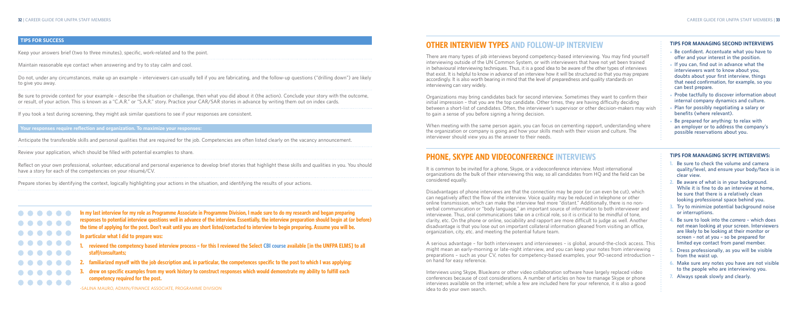#### **TIPS FOR MANAGING SKYPE INTERVIEWS:**

- **1. Be sure to check the volume and camera quality/level, and ensure your body/face is in clear view.**
- **2. Be aware of what is in your background. While it is fine to do an interview at home, be sure that there is a relatively clean looking professional space behind you.**
- **3. Try to minimize potential background noise or interruptions.**
- **4. Be sure to look into the** *camera* **which does not mean looking at your screen. Interviewers are likely to be looking at their monitor or screen – not at you – so be prepared for limited eye contact from panel member.**
- **5. Dress professionally, as you will be visible from the waist up.**
- **6. Make sure any notes you have are not visible to the people who are interviewing you.**
- **7. Always speak slowly and clearly.**

#### **TIPS FOR MANAGING SECOND INTERVIEWS**

- ● **Be confident. Accentuate what you have to offer and your interest in the position.**
- ● **If you can, find out in advance what the interviewers want to know about you, doubts about your first interview, things that need confirmation, for example, so you can best prepare.**
- **Probe tactfully to discover information about internal company dynamics and culture.**
- **Plan for possibly negotiating a salary or benefits (where relevant).**
- **Be prepared for anything: to relax with an employer or to address the company's possible reservations about you.**

# **OTHER INTERVIEW TYPES AND FOLLOW-UP INTERVIEW**

There are many types of job interviews beyond competency-based interviewing. You may find yourself interviewing outside of the UN Common System, or with interviewers that have not yet been trained in behavioural interviewing techniques. Thus, it is a good idea to be aware of the other types of interviews that exist. It is helpful to know in advance of an interview how it will be structured so that you may prepare accordingly. It is also worth bearing in mind that the level of preparedness and quality standards on interviewing can vary widely.

Organizations may bring candidates back for second interview. Sometimes they want to confirm their initial impression – that you are the top candidate. Other times, they are having difficulty deciding between a short-list of candidates. Often, the interviewer's supervisor or other decision-makers may wish to gain a sense of you before signing a hiring decision.

When meeting with the same person again, you can focus on cementing rapport, understanding where the organization or company is going and how your skills mesh with their vision and culture. The interviewer should view you as the answer to their needs.

# **PHONE, SKYPE AND VIDEOCONFERENCE INTERVIEWS**

It is common to be invited for a phone, Skype, or a videoconference interview. Most international organizations do the bulk of their interviewing this way, so all candidates from HQ and the field can be considered equally.

Reflect on your own professional, volunteer, educational and personal experience to develop brief stories that highlight these skills and qualities in vou. You should have a story for each of the competencies on your résumé/CV.

> Disadvantages of phone interviews are that the connection may be poor (or can even be cut), which can negatively affect the flow of the interview. Voice quality may be reduced in telephone or other online transmission, which can make the interview feel more "distant." Additionally, there is no nonverbal communication or "body language," an important source of information to both interviewer and interviewee. Thus, oral communications take on a critical role, so it is critical to be mindful of tone, clarity, etc. On the phone or online, sociability and rapport are more difficult to judge as well. Another disadvantage is that you lose out on important collateral information gleaned from visiting an office, organization, city, etc. and meeting the potential future team.

A serious advantage – for both interviewers and interviewees – is global, around-the-clock access. This might mean an early-morning or late-night interview, and you can keep your notes from interviewing preparations – such as your CV, notes for competency-based examples, your 90-second introduction – on hand for easy reference.

Interviews using Skype, BlueJeans or other video collaboration software have largely replaced video conferences because of cost considerations. A number of articles on how to manage Skype or phone interviews available on the internet; while a few are included here for your reference, it is also a good idea to do your own search.

**In my last interview for my role as Programme Associate in Programme Division, I made sure to do my research and began preparing responses to potential interview questions well in advance of the interview. Essentially, the interview preparation should begin at (or before) the time of applying for the post. Don't wait until you are short listed/contacted to interview to begin preparing. Assume you will be. In particular what I did to prepare was:**

- **1. reviewed the competency based interview process for this I reviewed the Select CBI course available [in the UNFPA ELMS] to all staff/consultants;**
- **2. familiarized myself with the job description and, in particular, the competences specific to the post to which I was applying;**
- **3. drew on specific examples from my work history to construct responses which would demonstrate my ability to fulfill each competency required for the post.**

### **TIPS FOR SUCCESS**

Keep your answers brief (two to three minutes), specific, work-related and to the point.

Maintain reasonable eye contact when answering and try to stay calm and cool.

Do not, under any circumstances, make up an example – interviewers can usually tell if you are fabricating, and the follow-up questions ("drilling down") are likely to give you away.

Be sure to provide context for your example – describe the situation or challenge, then what you did about it (the action). Conclude your story with the outcome, or result, of your action. This is known as a "C.A.R." or "S.A.R." story. Practice your CAR/SAR stories in advance by writing them out on index cards.

If you took a test during screening, they might ask similar questions to see if your responses are consistent.

**Your responses require reflection and organization. To maximize your responses:**

Anticipate the transferable skills and personal qualities that are required for the job. Competencies are often listed clearly on the vacancy announcement.

Review your application, which should be filled with potential examples to share.

Prepare stories by identifying the context, logically highlighting your actions in the situation, and identifying the results of your actions.

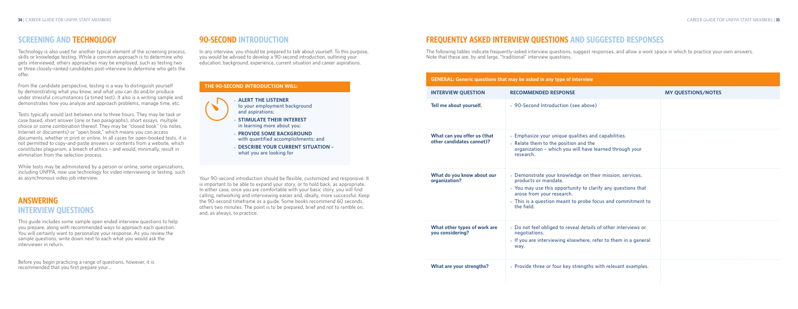# **FREQUENTLY ASKED INTERVIEW QUESTIONS AND SUGGESTED RESPONSES**

The following tables indicate frequently-asked interview questions, suggest responses, and allow a work space in which to practice your own answers. Note that these are, by and large, "traditional" interview questions.

**Tell me above** 

**What can other can** 

**What do organizati** 

- 17

|                                                          | <b>GENERAL: Generic questions that may be asked in any type of interview</b>                                                                                                                                                                               |                           |
|----------------------------------------------------------|------------------------------------------------------------------------------------------------------------------------------------------------------------------------------------------------------------------------------------------------------------|---------------------------|
| <b>INTERVIEW QUESTION</b>                                | <b>RECOMMENDED RESPONSE</b>                                                                                                                                                                                                                                | <b>MY QUESTIONS/NOTES</b> |
| Tell me about yourself.                                  | • 90-Second Introduction (see above)                                                                                                                                                                                                                       |                           |
| What can you offer us (that<br>other candidates cannot)? | • Emphasize your unique qualities and capabilities.<br>• Relate them to the position and the<br>organization - which you will have learned through your<br>research.                                                                                       |                           |
| What do you know about our<br>organization?              | • Demonstrate your knowledge on their mission, services,<br>products or mandate.<br>• You may use this opportunity to clarify any questions that<br>arose from your research.<br>• This is a question meant to probe focus and commitment to<br>the field. |                           |
| What other types of work are<br>you considering?         | • Do not feel obliged to reveal details of other interviews or<br>negotiations.<br>• If you are interviewing elsewhere, refer to them in a general<br>way.                                                                                                 |                           |
| What are your strengths?                                 | • Provide three or four key strengths with relevant examples.                                                                                                                                                                                              |                           |

## **SCREENING AND TECHNOLOGY**

Technology is also used for another typical element of the screening process, skills or knowledge testing. While a common approach is to determine who gets interviewed, others approaches may be employed, such as testing two or three closely-ranked candidates post-interview to determine who gets the offer.

From the candidate perspective, testing is a way to distinguish yourself by demonstrating what you know, and what you can do and/or produce under stressful circumstances (a timed test). It also is a writing sample and demonstrates how you analyze and approach problems, manage time, etc.

**ALERT THE LISTENER to your employment background and aspirations;**

**STIMULATE THEIR INTEREST in learning more about you;**

- **PROVIDE SOME BACKGROUND with quantified accomplishments; and**
- **DESCRIBE YOUR CURRENT SITUATION what you are looking for**

Tests typically would last between one to three hours. They may be task or case based, short answer (one or two paragraphs), short essays, multiple choice or some combination thereof. They may be "closed book" (no notes, Internet or documents) or "open book," which means you can access documents, whether in print or online. In all cases for open-booked tests, it is not permitted to copy-and-paste answers or contents from a website, which constitutes plagiarism, a breech of ethics – and would, minimally, result in elimination from the selection process.

While tests may be administered by a person or online, some organizations, including UNFPA, now use technology for video interviewing or testing, such as asynchronous video job interview.

# **ANSWERING INTERVIEW QUESTIONS**

This guide includes some sample open ended interview questions to help you prepare, along with recommended ways to approach each question. You will certainly want to personalize your response. As you review the sample questions, write down next to each what you would ask the interviewer in return.

Before you begin practicing a range of questions, however, it is recommended that you first prepare your…

## **90-SECOND INTRODUCTION**

In any interview, you should be prepared to talk about yourself. To this purpose, you would be advised to develop a 90-second introduction, outlining your education, background, experience, current situation and career aspirations.

Your 90-second introduction should be flexible, customized and responsive. It is important to be able to expand your story, or to hold back, as appropriate. In either case, once you are comfortable with your basic story, you will find calling, networking and interviewing easier and, ideally, more successful. Keep the 90-second timeframe as a guide. Some books recommend 60 seconds, others two minutes. The point is to be prepared, brief and not to ramble on, and, as always, to practice.

### **THE 90-SECOND INTRODUCTION WILL:**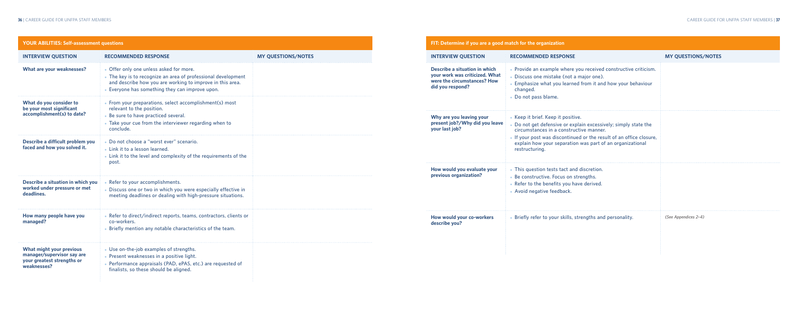**your last job?**

| FIT: Determine if you are a good match for the organization                                                        |                                                                                                                                                                                                                                                                                                        |                           |
|--------------------------------------------------------------------------------------------------------------------|--------------------------------------------------------------------------------------------------------------------------------------------------------------------------------------------------------------------------------------------------------------------------------------------------------|---------------------------|
| <b>INTERVIEW QUESTION</b>                                                                                          | <b>RECOMMENDED RESPONSE</b>                                                                                                                                                                                                                                                                            | <b>MY QUESTIONS/NOTES</b> |
| Describe a situation in which<br>your work was criticized. What<br>were the circumstances? How<br>did you respond? | • Provide an example where you received constructive criticism.<br>· Discuss one mistake (not a major one).<br>• Emphasize what you learned from it and how your behaviour<br>changed.<br>• Do not pass blame.                                                                                         |                           |
| Why are you leaving your<br>present job?/Why did you leave<br>your last job?                                       | • Keep it brief. Keep it positive.<br>• Do not get defensive or explain excessively; simply state the<br>circumstances in a constructive manner.<br>. If your post was discontinued or the result of an office closure,<br>explain how your separation was part of an organizational<br>restructuring. |                           |
| How would you evaluate your<br>previous organization?                                                              | • This question tests tact and discretion.<br>• Be constructive. Focus on strengths.<br>• Refer to the benefits you have derived.<br>• Avoid negative feedback.                                                                                                                                        |                           |
| How would your co-workers<br>describe you?                                                                         | • Briefly refer to your skills, strengths and personality.                                                                                                                                                                                                                                             | (See Appendices 2-4)      |

| <b>YOUR ABILITIES: Self-assessment questions</b>                                                    |                                                                                                                                                                                                                          |                           |
|-----------------------------------------------------------------------------------------------------|--------------------------------------------------------------------------------------------------------------------------------------------------------------------------------------------------------------------------|---------------------------|
| <b>INTERVIEW QUESTION</b>                                                                           | <b>RECOMMENDED RESPONSE</b>                                                                                                                                                                                              | <b>MY QUESTIONS/NOTES</b> |
| <b>What are your weaknesses?</b>                                                                    | • Offer only one unless asked for more.<br>• The key is to recognize an area of professional development<br>and describe how you are working to improve in this area.<br>• Everyone has something they can improve upon. |                           |
| What do you consider to<br>be your most significant<br>accomplishment(s) to date?                   | • From your preparations, select accomplishment(s) most<br>relevant to the position.<br>• Be sure to have practiced several.<br>• Take your cue from the interviewer regarding when to<br>conclude.                      |                           |
| Describe a difficult problem you<br>faced and how you solved it.                                    | · Do not choose a "worst ever" scenario.<br>• Link it to a lesson learned.<br>• Link it to the level and complexity of the requirements of the<br>post.                                                                  |                           |
| Describe a situation in which you<br>worked under pressure or met<br>deadlines.                     | • Refer to your accomplishments.<br>Discuss one or two in which you were especially effective in<br>meeting deadlines or dealing with high-pressure situations.                                                          |                           |
| How many people have you<br>managed?                                                                | • Refer to direct/indirect reports, teams, contractors, clients or<br>co-workers.<br>• Briefly mention any notable characteristics of the team.                                                                          |                           |
| What might your previous<br>manager/supervisor say are<br>your greatest strengths or<br>weaknesses? | • Use on-the-job examples of strengths.<br>• Present weaknesses in a positive light.<br>Performance appraisals (PAD, ePAS, etc.) are requested of<br>finalists, so these should be aligned.                              |                           |

### **FIT: Deter**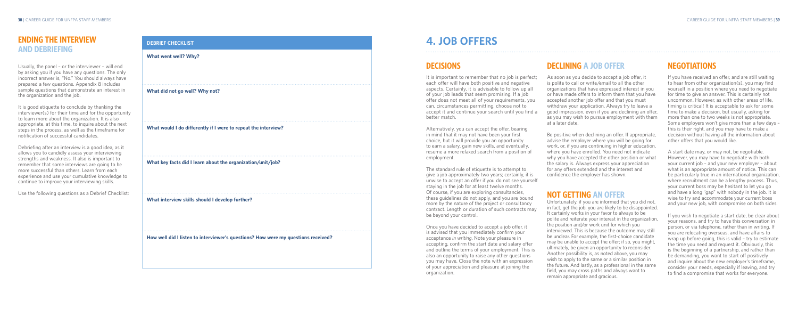# **DECLINING A JOB OFFER**

As soon as you decide to accept a job offer, it is polite to call or write/email to all the other organizations that have expressed interest in you or have made offers to inform them that you have accepted another job offer and that you must withdraw your application. Always try to leave a good impression, even if you are declining an offer, as you may wish to pursue employment with them at a later date.

Be positive when declining an offer. If appropriate, advise the employer where you will be going for work, or, if you are continuing in higher education, where you have enrolled. You need not indicate why you have accepted the other position or what the salary is. Always express your appreciation for any offers extended and the interest and confidence the employer has shown.

## **NOT GETTING AN OFFER**

It is important to remember that no job is perfect; each offer will have both positive and negative aspects. Certainly, it is advisable to follow up all of your job leads that seem promising. If a job offer does not meet all of your requirements, you can, circumstances permitting, choose not to accept it and continue your search until you find a better match.

> Unfortunately, if you are informed that you did not, in fact, get the job, you are likely to be disappointed. It certainly works in your favor to always to be polite and reiterate your interest in the organization, the position and/or work unit for which you interviewed. This is because the outcome may still be unclear. For example, the first-choice candidate may be unable to accept the offer; if so, you might, ultimately, be given an opportunity to reconsider. Another possibility is, as noted above, you may wish to apply to the same or a similar position in the future. And lastly, as a professional in the same field, you may cross paths and always want to remain appropriate and gracious.

# **4. JOB OFFERS**

# **DECISIONS**

Alternatively, you can accept the offer, bearing in mind that it may not have been your first choice, but it will provide you an opportunity to earn a salary, gain new skills, and eventually, resume a more relaxed search from a position of

employment.

The standard rule of etiquette is to attempt to give a job approximately two years; certainly, it is unwise to accept an offer if you do not see yourself staying in the job for at least twelve months. Of course, if you are exploring consultancies, these guidelines do not apply, and you are bound more by the nature of the project or consultancy contract. Length or duration of such contracts may

be beyond your control.

Once you have decided to accept a job offer, it is advised that you immediately confirm your acceptance *in writing*. Note your pleasure in accepting, confirm the start date and salary offer and outline the terms of your employment. This is also an opportunity to raise any other questions you may have. Close the note with an expression of your appreciation and pleasure at joining the organization.

# **NEGOTIATIONS**

If you have received an offer, and are still waiting to hear from other organization(s), you may find yourself in a position where you need to negotiate for time to give an answer. This is certainly not uncommon. However, as with other areas of life, timing is critical! It is acceptable to ask for some time to make a decision, but usually, asking for more than one to two weeks is not appropriate. Some employers won't give more than a few days – this is their right, and you may have to make a decision without having all the information about other offers that you would like.

A start date may, or may not, be negotiable. However, you may have to negotiate with both your current job – and your new employer – about what is an appropriate amount of notice. This can be particularly true in an international organization, where recruitment can be a lengthy process. Thus, your current boss may be hesitant to let you go and have a long "gap" with nobody in the job. It is wise to try and accommodate your current boss and your new job, with compromise on both sides.

If you wish to negotiate a start date, be clear about your reasons, and try to have this conversation in person, or via telephone, rather than in writing. If you are relocating overseas, and have affairs to wrap up before going, this is valid – try to estimate the time you need and request it. Obviously, this is the beginning of a partnership, and rather than be demanding, you want to start off positively and inquire about the new employer's timeframe, consider your needs, especially if leaving, and try to find a compromise that works for everyone.

### **DEBRIEF CHECKLIST**

#### **What went well? Why?**

**What did not go well? Why not?**

**What would I do differently if I were to repeat the interview?**

**What key facts did I learn about the organization/unit/job?**

**What interview skills should I develop further?**

**How well did I listen to interviewer's questions? How were my questions received?**

# **ENDING THE INTERVIEW AND DEBRIEFING**

Usually, the panel – or the interviewer – will end by asking you if you have any questions. The only incorrect answer is, "No." You should always have prepared a few questions. Appendix 8 includes sample questions that demonstrate an interest in the organization and the job.

It is good etiquette to conclude by thanking the interviewer(s) for their time and for the opportunity to learn more about the organization. It is also appropriate, at this time, to inquire about the next steps in the process, as well as the timeframe for notification of successful candidates.

Debriefing after an interview is a good idea, as it allows you to candidly assess your interviewing strengths and weakness. It also is important to remember that some interviews are going to be more successful than others. Learn from each experience and use your cumulative knowledge to continue to improve your interviewing skills.

Use the following questions as a Debrief Checklist: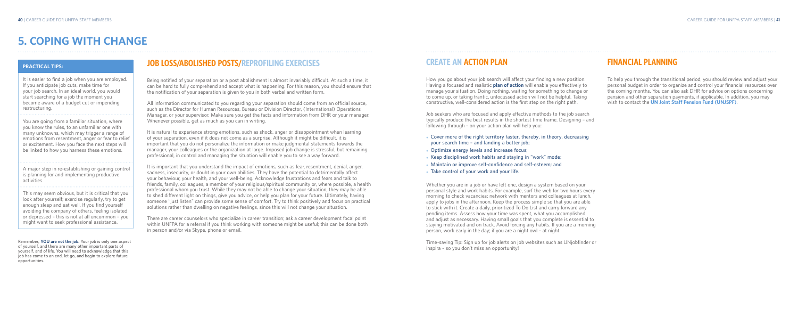# **FINANCIAL PLANNING**

To help you through the transitional period, you should review and adjust your personal budget in order to organize and control your financial resources over the coming months. You can also ask DHR for advice on options concerning pension and other separation payments, if applicable. In addition, you may wish to contact the **UN Joint Staff Pension Fund (UNJSPF)**.

# **CREATE AN ACTION PLAN**

How you go about your job search will affect your finding a new position. Having a focused and realistic **plan of action** will enable you effectively to manage your situation. Doing nothing, waiting for something to change or to come up, or taking frantic, unfocussed action will not be helpful. Taking constructive, well-considered action is the first step on the right path.

- 
- 
- 
- 
- 

Job seekers who are focused and apply effective methods to the job search typically produce the best results in the shortest time frame. Designing – and following through – on your action plan will help you:

• Cover more of the right territory faster, thereby, in theory, decreasing **your search time – and landing a better job;** ● **Optimize energy levels and increase focus;** • Keep disciplined work habits and staying in "work" mode; • Maintain or improve self-confidence and self-esteem; and • Take control of your work and your life.

Whether you are in a job or have left one, design a system based on your personal style and work habits. For example, surf the web for two hours every morning to check vacancies; network with mentors and colleagues at lunch, apply to jobs in the afternoon. Keep the process simple so that you are able to stick with it. Create a daily, prioritized To Do List and carry forward any pending items. Assess how your time was spent, what you accomplished and adjust as necessary. Having small goals that you complete is essential to staying motivated and on track. Avoid forcing any habits. If you are a morning person, work early in the day; if you are a night owl – at night.

Time-saving Tip: Sign up for job alerts on job websites such as UNjobfinder or inspira – so you don't miss an opportunity!

# **JOB LOSS/ABOLISHED POSTS/REPROFILING EXERCISES**

Being notified of your separation or a post abolishment is almost invariably difficult. At such a time, it can be hard to fully comprehend and accept what is happening. For this reason, you should ensure that the notification of your separation is given to you in both verbal and written form.

All information communicated to you regarding your separation should come from an official source, such as the Director for Human Resources, Bureau or Division Director, (International) Operations Manager, or your supervisor. Make sure you get the facts and information from DHR or your manager. Whenever possible, get as much as you can in writing.

It is natural to experience strong emotions, such as shock, anger or disappointment when learning of your separation, even if it does not come as a surprise. Although it might be difficult, it is important that you do not personalize the information or make judgmental statements towards the manager, your colleagues or the organization at large. Imposed job change is stressful, but remaining professional, in control and managing the situation will enable you to see a way forward.

It is important that you understand the impact of emotions, such as fear, resentment, denial, anger, sadness, insecurity, or doubt in your own abilities. They have the potential to detrimentally affect your behaviour, your health, and your well-being. Acknowledge frustrations and fears and talk to friends, family, colleagues, a member of your religious/spiritual community or, where possible, a health professional whom you trust. While they may not be able to change your situation, they may be able to shed different light on things, give you advice, or help you plan for your future. Ultimately, having someone "just listen" can provide some sense of comfort. Try to think positively and focus on practical solutions rather than dwelling on negative feelings, since this will not change your situation.

There are career counselors who specialize in career transition; ask a career development focal point within UNFPA for a referral if you think working with someone might be useful; this can be done both in person and/or via Skype, phone or email.

# **5. COPING WITH CHANGE**

### **PRACTICAL TIPS:**

It is easier to find a job when you are employed. If you anticipate job cuts, make time for your job search. In an ideal world, you would start searching for a job the moment you become aware of a budget cut or impending restructuring.

You are going from a familiar situation, where you know the rules, to an unfamiliar one with many unknowns, which may trigger a range of emotions from resentment, anger or fear to relief or excitement. How you face the next steps will be linked to how you harness these emotions.

A major step in re-establishing or gaining control is planning for and implementing productive activities.

This may seem obvious, but it is critical that you look after yourself; exercise regularly, try to get enough sleep and eat well. If you find yourself avoiding the company of others, feeling isolated or depressed – this is not at all uncommon – you might want to seek professional assistance.

**Remember, YOU are not the job. Your job is only one aspect of yourself, and there are many other important parts of yourself, and of life. You will need to acknowledge that this job has come to an end, let go, and begin to explore future opportunities.**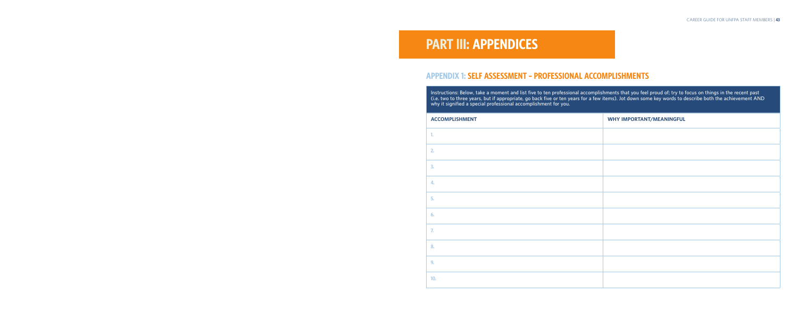# **PART lII: APPENDICES**

# **APPENDIX 1: SELF ASSESSMENT – PROFESSIONAL ACCOMPLISHMENTS**

**Instructions: Below, take a moment and list five to ten professional accomplishments that you feel proud of; try to focus on things in the recent past (i.e. two to three years, but if appropriate, go back five or ten years for a few items). Jot down some key words to describe both the achievement AND why it signified a special professional accomplishment for you.**

| <b>ACCOMPLISHMENT</b> | <b>WHY IMPORTANT/MEANINGFUL</b> |
|-----------------------|---------------------------------|
| 1.                    |                                 |
| 2.                    |                                 |
| 3.                    |                                 |
| 4.                    |                                 |
| 5.                    |                                 |
| 6.                    |                                 |
| 7.                    |                                 |
| 8.                    |                                 |
| 9.                    |                                 |
| 10.                   |                                 |

| Instructions:<br>(i.e. two to tl<br>why it signifi |  |  |  |  |
|----------------------------------------------------|--|--|--|--|
| <b>ACCOMPLIS</b>                                   |  |  |  |  |
| 1.                                                 |  |  |  |  |
| $\overline{2}$                                     |  |  |  |  |
| 3.                                                 |  |  |  |  |
| 4.                                                 |  |  |  |  |
| 5.                                                 |  |  |  |  |
| 6.                                                 |  |  |  |  |
| 7.                                                 |  |  |  |  |
| 8.                                                 |  |  |  |  |
| 9.                                                 |  |  |  |  |
| 10.                                                |  |  |  |  |
|                                                    |  |  |  |  |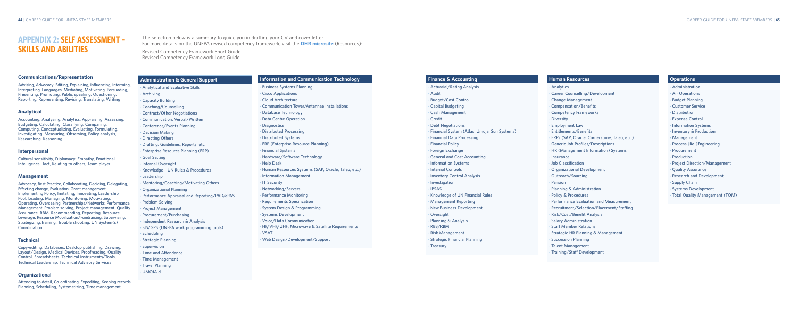#### **Finance & Accounting**

#### • **Actuarial/Rating Analysis**

- 
- • **Capital Budgeting**
	-
	-
	-
- • **Financial System (Atlas, Umoja, Sun Systems)**
	-
	-
- • **General and Cost Accounting**
	-
	-
- • **Inventory Control Analysis**
	-
- • **Knowledge of UN Financial Rules** • **Management Reporting**
	-
- 
- • **Audit**
- • **Budget/Cost Control**
- • **Cash Management**
- • **Credit**
- • **Debt Negotiations**
- 
- • **Financial Data Processing** • **Financial Policy**
- • **Foreign Exchange**
- 
- • **Information Systems**
- **Internal Controls**
- 
- • **Investigation**
- • **IPSAS**
- 
- 
- • **New Business Development**
- • **Oversight**
- • **Planning & Analysis**
- • **RBB/RBM**
- • **Risk Management** • **Strategic Financial Planning**
- 
- • **Treasury**

#### **Human Resources**

#### • **Analytics**

- • **Career Counselling/Development**
- • **Change Management**
- • **Compensation/Benefits**
- • **Competency Frameworks**
- • **Diversity**
- • **Employment Law**
- • **Entitlements/Benefits**
- **ERPs (SAP, Oracle, Cornerstone, Taleo, etc.)**
- • **Generic Job Profiles/Descriptions**
- • **HR (Management Information) Systems**
- • **Insurance**
- • **Job Classification**
- • **Organizational Development**
- • **Outreach/Sourcing**
- • **Pension**
- • **Planning & Administration**
- **Policy & Procedures**
- • **Performance Evaluation and Measurement**
- • **Recruitment/Selection/Placement/Staffing**
- • **Risk/Cost/Benefit Analysis**
- • **Salary Administration**
- • **Staff Member Relations**
- • **Strategic HR Planning & Management**
- • **Succession Planning**
- • **Talent Management**
- • **Training/Staff Development**

#### **Operations**

- • **Administration**
- • **Air Operations**
- **Budget Planning**
- • **Customer Service**
- • **Distribution**
- • **Expense Control**
- • **Information Systems**
- • **Inventory & Production**
- • **Management**
- • **Process (Re-)Engineering**
- • **Procurement**
- • **Production**
- • **Project Direction/Management**
- • **Quality Assurance**
- • **Research and Development**
- • **Supply Chain**
- • **Systems Development**
- • **Total Quality Management (TQM)**

# **APPENDIX 2: SELF ASSESSMENT – SKILLS AND ABILITIES**

The selection below is a summary to guide you in drafting your CV and cover letter. For more details on the UNFPA revised competency framework, visit the **DHR microsite** (Resources):

Revised Competency Framework Short Guide Revised Competency Framework Long Guide

**Administrat** 

#### **Communications/Representation**

**Advising, Advocacy, Editing, Explaining, Influencing, Informing, Interpreting, Languages, Mediating, Motivating, Persuading, Presenting, Promoting, Public speaking, Questioning, Reporting, Representing, Revising, Translating, Writing**

#### **Analytical**

**Accounting, Analysing, Analytics, Appraising, Assessing, Budgeting, Calculating, Classifying, Comparing, Computing, Conceptualizing, Evaluating, Formulating, Investigating, Measuring, Observing, Policy analysis, Researching, Reasoning**

#### **Interpersonal**

**Cultural sensitivity, Diplomacy, Empathy, Emotional Intelligence, Tact, Relating to others, Team player**

#### **Management**

**Advocacy, Best Practice, Collaborating, Deciding, Delegating, Effecting change, Evaluation, Grant management, Implementing Policy, Imitating, Innovating, Leadership Pool, Leading, Managing, Monitoring, Motivating, Operating, Overseeing, Partnerships/Networks, Performance Management, Problem solving, Project management, Quality Assurance, RBM, Recommending, Reporting, Resource Leverage, Resource Mobilization/Fundraising, Supervising, Strategizing,Training, Trouble shooting, UN System(s) Coordination**

#### **Technical**

**Copy-editing, Databases, Desktop publishing, Drawing, Layout/Design, Medical Devices, Proofreading, Quality Control, Spreadsheets, Technical Instruments/Tools, Technical Leadership, Technical Advisory Services**

#### **Organizational**

**Attending to detail, Co-ordinating, Expediting, Keeping records, Planning, Scheduling, Systematizing, Time management**

| <b>Administration &amp; General Support</b>  | <b>Information and Communication Technology</b>      |  |  |
|----------------------------------------------|------------------------------------------------------|--|--|
| <b>Analytical and Evaluative Skills</b>      | <b>Business Systems Planning</b>                     |  |  |
| Archiving                                    | <b>Cisco Applications</b>                            |  |  |
| <b>Capacity Building</b>                     | · Cloud Architecture                                 |  |  |
| Coaching/Counselling                         | <b>Communication Tower/Antennae Installations</b>    |  |  |
| <b>Contract/Other Negotiations</b>           | Database Technology                                  |  |  |
| Communication: Verbal/Written                | <b>Data Centre Operation</b>                         |  |  |
| Conference/Events Planning                   | · Diagnostics                                        |  |  |
| <b>Decision Making</b>                       | <b>Distributed Processing</b>                        |  |  |
| <b>Directing Others</b>                      | · Distributed Systems                                |  |  |
| Drafting: Guidelines, Reports, etc.          | ERP (Enterprise Resource Planning)                   |  |  |
| <b>Enterprise Resource Planning (ERP)</b>    | · Financial Systems                                  |  |  |
| <b>Goal Setting</b>                          | • Hardware/Software Technology                       |  |  |
| <b>Internal Oversight</b>                    | · Help Desk                                          |  |  |
| Knowledge - UN Rules & Procedures            | · Human Resources Systems (SAP, Oracle, Taleo, etc.) |  |  |
| Leadership                                   | · Information Management                             |  |  |
| Mentoring/Coaching/Motivating Others         | · IT Security                                        |  |  |
| <b>Organizational Planning</b>               | · Networking/Servers                                 |  |  |
| Performance Appraisal and Reporting/PAD/ePAS | · Performance Monitoring                             |  |  |
| <b>Problem Solving</b>                       | · Requirements Specification                         |  |  |
| <b>Project Management</b>                    | · System Design & Programming                        |  |  |
| Procurement/Purchasing                       | <b>Systems Development</b>                           |  |  |
| Independent Research & Analysis              | · Voice/Data Communication                           |  |  |
| SIS/GPS (UNFPA work programming tools)       | · HF/VHF/UHF, Microwave & Satellite Requirements     |  |  |
| Scheduling                                   | · VSAT                                               |  |  |
| <b>Strategic Planning</b>                    | · Web Design/Development/Support                     |  |  |
| Supervision                                  |                                                      |  |  |
| Time and Attendance                          |                                                      |  |  |
| <b>Time Management</b>                       |                                                      |  |  |

• **Travel Planning** • **UMOJA d**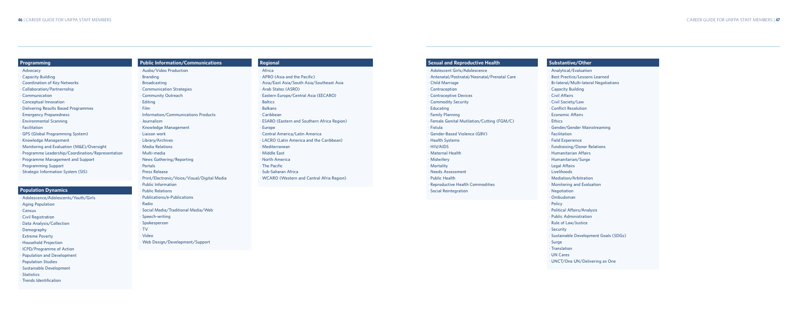- • **Adolescent Girls/Adolescence**
- enatal/Postnatal/Neonatal/Prenatal Care
- d Marriage
- **traception**
- **ntraceptive Devices** mmodity Security
- **cating**
- 
- 
- • **Fistula**
- 
- alth Systems
- • **HIV/AIDS**
- ernal Health
- wifery
- • **Mortality**
- **ds Assessment**
- *<u>Iic Health</u>*
- 
- 

#### **Sexual and Reproductive Health**

- 
- 
- **ily Planning** ale Genital Mutilation/Cutting (FGM/C)
- **der-Based Violence (GBV)** 
	-
	-
	-
- **roductive Health Commodities ial Reintegration**

#### **Substantive/Other**

- • **Analytical/Evaluation**
- • **Best Practice/Lessons Learned**
- • **Bi-lateral/Multi-lateral Negotiations**
- • **Capacity Building**
- • **Civil Affairs**
- • **Civil Society/Law**
- • **Conflict Resolution**
- • **Economic Affairs**
- • **Ethics**
- • **Gender/Gender Mainstreaming**
- • **Facilitation**
- • **Field Experience**
- • **Fundraising/Donor Relations**
- • **Humanitarian Affairs**
- • **Humanitarian/Surge**
- • **Legal Affairs**
- • **Livelihoods**
- • **Mediation/Arbitration**
- • **Monitoring and Evaluation**
- • **Negotiation**
- • **Ombudsman**
- • **Policy**
- • **Political Affairs/Analysis**
- • **Public Administration**
- • **Rule of Law/Justice**
- • **Security**
- • **Sustainable Development Goals (SDGs)**
- • **Surge**
- • **Translation**
- • **UN Cares**
- • **UNCT/One UN/Delivering as One**
- • **Civil Registration**
- • **Data Analysis/Collection**
- • **Demography**
- • **Extreme Poverty**
- • **Household Projection**
- • **ICPD/Programme of Action**
- • **Population and Development**
- • **Population Studies**
- • **Sustainable Development**
- • **Statistics**
- • **Trends Identification**

| Programming                                      | <b>Public Information/Communications</b>    | <b>Regional</b>                                   | Sexu         |
|--------------------------------------------------|---------------------------------------------|---------------------------------------------------|--------------|
| · Advocacy                                       | Audio/Video Production                      | · Africa                                          | · Adol       |
| <b>Capacity Building</b>                         | <b>Branding</b>                             | APRO (Asia and the Pacific)                       | · Ante       |
| <b>Coordination of Key Networks</b>              | <b>Broadcasting</b>                         | Asia/East Asia/South Asia/Southeast Asia          | · Chilc      |
| Collaboration/Partnernship                       | <b>Communication Strategies</b>             | Arab States (ASRO)                                | • Cont       |
| Communication                                    | <b>Community Outreach</b>                   | Eastern Europe/Central Asia (EECARO)              | · Cont       |
| <b>Conceptual Innovation</b>                     | Editing                                     | <b>Baltics</b>                                    | · Com        |
| <b>Delivering Results Based Programmes</b>       | · Film                                      | <b>Balkans</b>                                    | Educ         |
| <b>Emergency Preparedness</b>                    | Information/Communications Products         | Caribbean                                         | Fami         |
| <b>Environmental Scanning</b>                    | · Journalism                                | <b>ESARO (Eastern and Southern Africa Region)</b> | Fema         |
| Facilitation                                     | Knowledge Management                        | Europe                                            | ∙ Fistu      |
| GPS (Global Programming System)                  | Liaison work                                | Central America/Latin America                     | • Gend       |
| Knowledge Management                             | Library/Archives                            | LACRO (Latin America and the Caribbean)           | · Heal       |
| Monitoring and Evaluation (M&E)/Oversight        | · Media Relations                           | · Mediterranean                                   | $\cdot$ HIV/ |
| Programme Leadership/Coordination/Representation | · Multi-media                               | · Middle East                                     | · Mate       |
| Programme Management and Support                 | News Gathering/Reporting                    | • North America                                   | · Midv       |
| <b>Programming Support</b>                       | Portals                                     | • The Pacific                                     | · Mort       |
| <b>Strategic Information System (SIS)</b>        | <b>Press Release</b>                        | · Sub-Saharan Africa                              | • Need       |
|                                                  | Print/Electronic/Voice/Visual/Digital Media | <b>WCARO (Western and Central Afria Region)</b>   | Publi        |
|                                                  | <b>Public Information</b>                   |                                                   | Repr         |
| <b>Population Dynamics</b>                       | <b>Public Relations</b>                     |                                                   | · Socia      |
| Adolescence/Adolescents/Youth/Girls              | Publications/e-Publications                 |                                                   |              |
| <b>Aging Population</b>                          | Radio                                       |                                                   |              |
| Census                                           | <b>Social Media/Traditional Media/Web</b>   |                                                   |              |

- • **Spokesperson**
- • **TV**
- • **Video**
- 
- • **Speech-writing**
- 
- 
- 
- • **Web Design/Development/Support**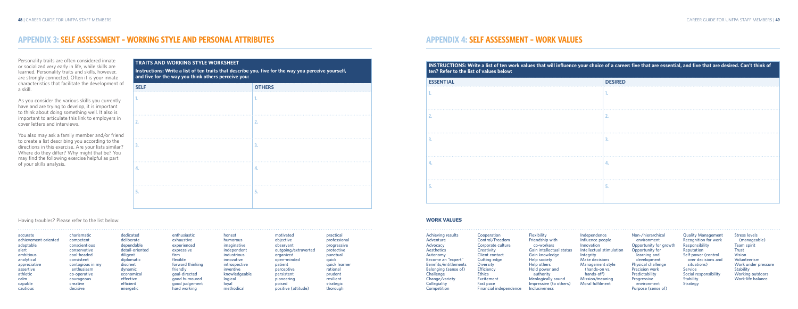# **APPENDIX 4: SELF ASSESSMENT – WORK VALUES**

**INSTRUCTIONS: Write a list of ten work values that will influence your choice of a career: five that are essential, and five that are desired. Can't think of ten? Refer to the list of values below: ESSENTIAL DESIRED**

| ESSEN I IAL | <b>DESIRED</b> |
|-------------|----------------|
| н.          |                |
|             |                |
|             |                |
|             | 4.             |
|             | D.             |

**Cooperation Control/Freedom Corporate culture Creativity Client contact Cutting edge Diversity Efficiency Ethics Excitement Fast pace Financial independence**

### **WORK VALUES**  $\mathbf{a}^{(1)}\mathbf{a}^{(2)}\mathbf{a}^{(3)}\mathbf{a}^{(4)}\mathbf{a}^{(5)}\mathbf{a}^{(6)}\mathbf{a}^{(6)}\mathbf{a}^{(6)}\mathbf{a}^{(6)}\mathbf{a}^{(6)}\mathbf{a}^{(6)}\mathbf{a}^{(6)}\mathbf{a}^{(6)}\mathbf{a}^{(6)}\mathbf{a}^{(6)}\mathbf{a}^{(6)}\mathbf{a}^{(6)}\mathbf{a}^{(6)}\mathbf{a}^{(6)}\mathbf{a}^{(6)}\mathbf{a}^{(6)}\mathbf{a}^{(6)}$

| lts              |  |
|------------------|--|
|                  |  |
| pert"            |  |
| ements<br>se of) |  |
| V                |  |
|                  |  |

**Flexibility Friendship with co-workers Gain intellectual status Gain knowledge Help society Help others Hold power and authority Ideologically sound Impressive (to others) Inclusiveness**

**Independence Influence people Innovation Intellectual stimulation Integrity Make decisions Management style (hands-on vs. hands-off) Mission/meaning Moral fulfilment**

**Non-/hierarchical environment Opportunity for growth Opportunity for learning and development Physical challenge Precision work Predictability Progressive environment Purpose (sense of)**

**Quality Management Recognition for work Responsibility Reputation Self-power (control over decisions and situations) Service Social responsibility Stability Strategy**

**Stress levels (manageable) Team spirit Trust Vision Volunteerism Work under pressure Stability Working outdoors Work-life balance**

### **TRAITS AND WORKING STYLE WORKSHEET**

**Instructions: Write a list of ten traits that describe you, five for the way you perceive yourself, and five for the way you think others perceive you:**

| <b>SELF</b> | <b>OTHERS</b> |
|-------------|---------------|
| 1.          | 1.            |
| 2.          | 2.            |
| 3.          | 3.            |
| 4.          | 4.            |
| 5.          | 5.            |

# **APPENDIX 3: SELF ASSESSMENT – WORKING STYLE AND PERSONAL ATTRIBUTES**

|                      |                  |                 |                  |               |                      |               | .                      |
|----------------------|------------------|-----------------|------------------|---------------|----------------------|---------------|------------------------|
| accurate             | charismatic      | dedicated       | enthusiastic     | honest        | motivated            | practical     | Achieving resul        |
| achievement-oriented | competent        | deliberate      | exhaustive       | humorous      | objective            | professional  | Adventure              |
| adaptable            | conscientious    | dependable      | experienced      | imaginative   | observant            | progressive   | Advocacy               |
| alert                | conservative     | detail-oriented | expressive       | independent   | outgoing/extraverted | protective    | Aesthetics             |
| ambitious            | cool-headed      | diligent        | firm             | industrious   | organized            | punctual      | Autonomy               |
| analytical           | consistent       | diplomatic      | flexible         | innovative    | open-minded          | quick         | Become an "exp         |
| appreciative         | contagious in my | discreet        | forward thinking | introspective | patient              | quick learner | Benefits/entitle       |
| assertive            | enthusiasm       | dynamic         | friendly         | inventive     | perceptive           | rational      | <b>Belonging (sens</b> |
| athletic             | co-operative     | economical      | qoal-directed    | knowledgeable | persistent           | prudent       | Challenge              |
| calm                 | courageous       | effective       | good humoured    | logical       | pioneering           | resilient     | Change/variety         |
| capable              | creative         | efficient       | good judgement   | loval         | poised               | strategic     | Collegiality           |
| cautious             | decisive         | energetic       | hard working     | methodical    | positive (attitude)  | thorough      | Competition            |
|                      |                  |                 |                  |               |                      |               |                        |

Personality traits are often considered innate or socialized very early in life, while skills are learned. Personality traits and skills, however, are strongly connected. Often it is your innate characteristics that facilitate the development of a skill.

As you consider the various skills you currently have and are trying to develop, it is important to think about doing something well. It also is important to articulate this link to employers in cover letters and interviews.

You also may ask a family member and/or friend to create a list describing you according to the directions in this exercise. Are your lists similar? Where do they differ? Why might that be? You may find the following exercise helpful as part of your skills analysis.

Having troubles? Please refer to the list below: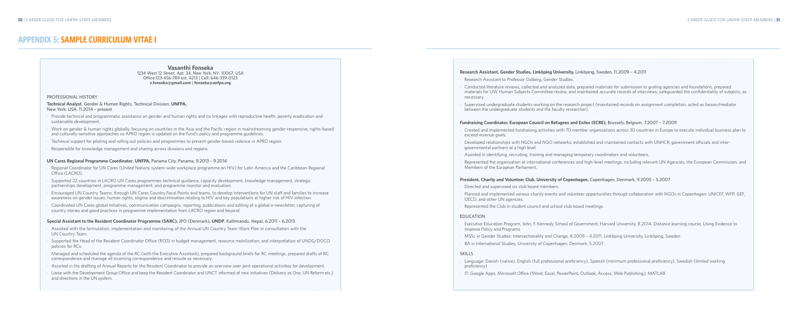#### **Research Assistant, Gender Studies, Linköping University, Linköping, Sweden, 11.2009 – 4.2011**

- Research Assistant to Professor Dalberg, Gender Studies.
- Conducted literature reviews, collected and analyzed data, prepared materials for submission to grating agencies and foundations, prepared materials for UW Human Subjects Committee review, and maintained accurate records of interviews, safeguarded the confidentiality of subjects, as necessary.
- Supervised undergraduate students working on the research project (maintained records on assignment completion, acted as liaison/mediator between the undergraduate students and the faculty researcher).

- Created and implemented fundraising activities with 70 member organisations across 30 countries in Europe to execute individual business plan to exceed revenue goals.
- Developed relationships with NGOs and NGO networks; established and maintained contacts with UNHCR, government officials and intergovernmental partners at a high level.
- Assisted in identifying, recruiting, training and managing temporary coordinators and volunteers.
- Represented the organisation at international conferences and high-level meetings, including relevant UN Agencies, the European Commission, and Members of the European Parliament.

#### **Fundraising Coordinator, European Council on Refugees and Exiles (ECRE), Brussels, Belgium, 7.2007 – 7.2009**

#### **President, Charity and Volunteer Club, University of Copenhagen, Copenhagen, Denmark, 9.2005 – 5.2007**

- Directed and supervised six club board members.
- Planned and implemented various charity events and volunteer opportunities through collaboration with NGOs in Copenhagen: UNICEF, WFP, GEF, OECD, and other UN agencies.
- Represented the Club in student council and school club board meetings.

#### **EDUCATION**

- Executive Education Program, John, F. Kennedy School of Government, Harvard University, 8.2014. Distance learning course, Using Evidence to Improve Policy and Programs
- MSSc in Gender Studies: Intersectionality and Change, 8.2009 4.2011. Linköping University, Linköping, Sweden
- BA in International Studies, University of Copenhagen, Denmark, 5.2007
- Regional Coordinator for UN Cares (United Nations system-wide workplace programme on HIV) for Latin America and the Caribbean Regional Office (LACRO).
- Supported 22 countries in LACRO UN Cares programmes technical guidance, capacity development, knowledge management, strategic partnerships development, programme management, and programme monitor and evaluation.
- Encouraged UN Country Teams, through UN Cares Country Focal Points and teams, to develop interventions for UN staff and families to increase awareness on gender issues, human rights, stigma and discrimination relating to HIV and key populations at higher risk of HIV infection.
- Coordinated UN Cares global initiatives, communication campaigns, reporting, publications and editing of a global e-newsletter, capturing of country stories and good practices in programme implementation from LACRO region and beyond.

#### **SKILLS**

- Language: Danish (native), English (full professional proficiency), Spanish (minimum professional proficiency), Swedish (limited working proficiency)
- IT: Google Apps, Microsoft Office (Word, Excel, PowerPoint, Outlook, Access, Web Publishing), MATLAB

# **APPENDIX 5: SAMPLE CURRICULUM VITAE I**

#### **Vasanthi Fonseka 1234 West 12 Street, Apt. 34, New York, NY, 10067, USA Office:123-456-789 ext. 4213 | Cell: 646-339-0123 v.fonseka@gmail.com | fonseka@unfpa.org**

- Assisted with the formulation, implementation and monitoring of the Annual UN Country Team Work Plan in consultation with the UN Country Team.
- Supported the Head of the Resident Coordinator Office (RCO) in budget management, resource mobilization, and interpretation of UNDG/DOCO policies for RCs.
- • Managed and scheduled the agenda of the RC (with the Executive Assistant), prepared background briefs for RC meetings, prepared drafts of RC correspondence and manage all incoming correspondence and reroute as necessary.
- Assisted in the drafting of Annual Reports for the Resident Coordinator to provide an overview over joint operational activities for development.
- Liaise with the Development Group Office and keep the Resident Coordinator and UNCT informed of new initiatives (Delivery as One, UN Reform etc.) and directions in the UN system.

#### **PROFESSIONAL HISTORY**

**Technical Analyst, Gender & Human Rights, Technical Division, UNFPA, New York, USA, 11.2014 – present**

- Provide technical and programmatic assistance on gender and human rights and its linkages with reproductive health, poverty eradication and sustainable development.
- Work on gender & human rights globally, focusing on countries in the Asia and the Pacific region in mainstreaming gender-responsive, rights-based and culturally-sensitive approaches so APRO region is updated on the Fund's policy and programme guidelines.
- Technical support for piloting and rolling out policies and programmes to prevent gender-based violence in APRO region.
- Responsible for knowledge management and sharing across divisions and regions.

#### **UN Cares Regional Programme Coordinator, UNFPA, Panama City, Panama, 9.2013 – 9.2014**

#### **Special Assistant to the Resident Coordinator Programme (SARC), JPO (Denmark), UNDP, Kathmandu, Nepal, 6.2011 – 6.2013**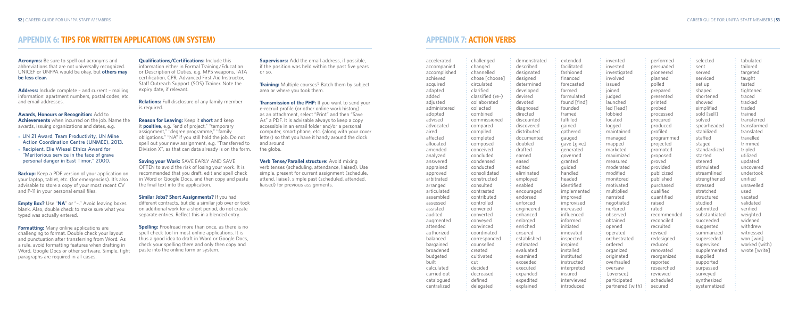# **APPENDIX 7: ACTION VERBS**

accelerated accompanied accomplished achieved acquired adapted added adjusted administered adopted advised advocated aired affected allocated amended analyzed answered appraised approved arbitrated arranged articulated assembled assessed assisted audited augmented attended authorized balanced bargained broadened budgeted built calculated carried out catalogued centralized

| challenged       | demonstr   |
|------------------|------------|
| changed          | described  |
| channelled       | designate  |
| chose [choose]   | designed   |
| circulated       | determine  |
| clarified        | developed  |
| classified (re-) | devised    |
| collaborated     | devoted    |
| collected        | diagnosed  |
| combined         | directed   |
| commissioned     | discounte  |
| compared         | discovere  |
| compiled         | distribute |
| completed        | document   |
| composed         | doubled    |
| conceived        | drafted    |
| concluded        | earned     |
| condensed        | eased      |
| conducted        | edited     |
| consolidated     | eliminate  |
| constructed      | employed   |
| consulted        | enabled    |
| contrasted       | encourag   |
| contributed      | endorsed   |
| controlled       | enforced   |
| convened         | engineere  |
| converted        | enhanced   |
| conveyed         | enlarged   |
| convinced        | enriched   |
| coordinated      | ensured    |
| corresponded     | establishe |
| counselled       | estimated  |
| created          | evaluated  |
| cultivated       | examined   |
| cut              | exceeded   |
| decided          | executed   |
| decreased        | expanded   |
| defined          | expedited  |
| delegated        | explained  |
|                  |            |

strated described ted ned ed ed ted red ted nted ted  $ed$ ged red ed hed ed  $ed$  $dd$ exceeded he  $h \in$ 

extended facilitated fashioned financed forecasted formed formulated found [find] founded framed fulfilled gained gathered gauged gave [give] generated governed granted auided handled headed identified implemented improved improvised increased influenced informed initiated innovated inspected inspired installed instituted instructed interpreted insured interviewed introduced

invented invested investigated involved issued joined judged launched led [lead] lobbied located logged maintained managed mapped marketed maximized measured moderated modified monitored motivated multiplied narrated negotiated nurtured observed obtained opened operated orchestrated ordered organized originated overhauled oversaw [oversee] participated partnered (with)

**Backup:** Keep a PDF version of your application on your laptop, tablet, etc. (for emergencies). It's also advisable to store a copy of your most recent CV and P-11 in your personal email files.

**Formatting:** Many online applications are challenging to format. Double check your layout and punctuation after transferring from Word. As a rule, avoid formatting features when drafting in Word, Google Docs or other software. Simple, tight paragraphs are required in all cases.

**Qualifications/Certifications:** Include this

performed persuaded pioneered planned polled prepared presented printed probed processed procured produced profiled programmed projected promoted proposed proved provided publicized published purchased qualified quantified raised rated recommended reconciled recruited revised redesigned reduced renovated reorganized reported researched reviewed scheduled secured

selected sent served serviced set up shaped shortened showed simplified sold [sell] solved spearheaded stabilized staffed staged standardized started steered stimulated streamlined strengthened stressed stretched structured studied submitted substantiated succeeded suggested summarized superseded supervised supplemented supplied supported surpassed surveyed synthesized systematized

**Spelling:** Proofread more than once, as there is no spell check tool in most online applications. It is thus a good idea to draft in Word or Google Docs, check your spelling there and only then copy and paste into the online form or system.

tabulated tailored targeted taught tested tightened traced tracked traded trained transferred transformed translated travelled trimmed tripled utilized updated uncovered undertook unified unravelled used vacated validated verified weighted widened withdrew witnessed won [win] worked (with) wrote [write]

**Transmission of the PHP:** If you want to send your e-recruit profile (or other online work history) as an attachment, select "Print" and then "Save As" a PDF. It is advisable always to keep a copy accessible in an email folder and/or a personal computer, smart phone, etc. (along with your cover letter) so that you have it handy around the clock and around the globe.

**Acronyms:** Be sure to spell out acronyms and abbreviations that are not universally recognized. UNICEF or UNFPA would be okay, but **others may be less clear.**

**Address:** Include complete – and current – mailing information: apartment numbers, postal codes, etc. and email addresses.

**Awards, Honours or Recognition:** Add to **Achievements** when incurred on the job. Name the awards, issuing organizations and dates, e.g.

- ● **UN 21 Award, Team Productivity, UN Mine Action Coordination Centre (UNMEE), 2013.**
- ● **Recipient, Elie Wiesel Ethics Award for "Meritorious service in the face of grave personal danger in East Timor," 2000.**

**Empty Box?** Use "**NA**" or "–." Avoid leaving boxes blank. Also, double check to make sure what you typed was actually entered.

# **APPENDIX 6: TIPS FOR WRITTEN APPLICATIONS (UN SYSTEM)**

information either in Formal Training/Education or Description of Duties, e.g. MP5 weapons, IATA certification, CPR, Advanced First Aid Instructor, Staff Outreach Support (SOS) Trainer. Note the expiry date, if relevant.

**Relations:** Full disclosure of any family member is required.

**Reason for Leaving:** Keep it **short** and keep it **positive**, e.g. "end of project," "temporary assignment," "degree programme," "family obligations." "NA" if you still hold the job. Do not spell out your new assignment, e.g. "Transferred to Division X", as that can data already is on the form.

**Saving your Work:** SAVE EARLY AND SAVE OFTEN to avoid the risk of losing your work. It is recommended that you draft, edit and spell check in Word or Google Docs, and then copy and paste the final text into the application.

**Similar Jobs? Short Assignments?** If you had different contracts, but did a similar job over or took on additional work for a short period, do not create separate entries. Reflect this in a blended entry.

**Supervisors:** Add the email address, if possible, if the position was held within the past five years or so.

**Training:** Multiple courses? Batch them by subject area or where you took them.

**Verb Tense/Parallel structure:** Avoid mixing verb tenses (scheduling, attendance, liaised). Use simple, present for current assignment (schedule, attend, liaise), simple past (scheduled, attended, liaised) for previous assignments.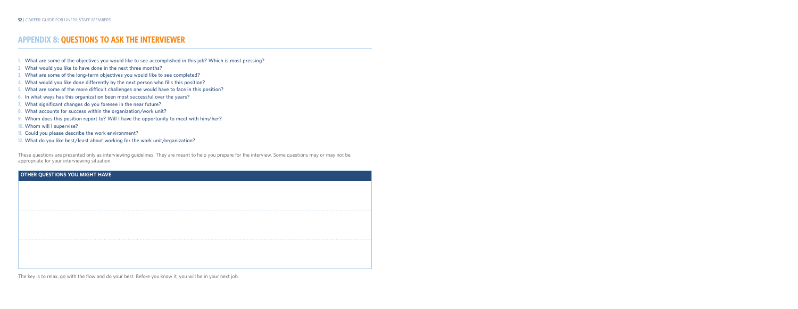- **1. What are some of the objectives you would like to see accomplished in this job? Which is most pressing?**
- **2. What would you like to have done in the next three months?**
- **3. What are some of the long-term objectives you would like to see completed?**
- **4. What would you like done differently by the next person who fills this position?**
- **5. What are some of the more difficult challenges one would have to face in this position?**
- **6. In what ways has this organization been most successful over the years?**
- **7. What significant changes do you foresee in the near future?**
- **8. What accounts for success within the organization/work unit?**
- **9. Whom does this position report to? Will I have the opportunity to meet with him/her?**
- **10. Whom will I supervise?**
- **11. Could you please describe the work environment?**
- **12. What do you like best/least about working for the work unit/organization?**

These questions are presented only as interviewing guidelines. They are meant to help you prepare for the interview. Some questions may or may not be appropriate for your interviewing situation.

### **OTHER QUESTIONS YOU MIGHT HAVE**

The key is to relax, go with the flow and do your best. Before you know it, you will be in your next job.

# **APPENDIX 8: QUESTIONS TO ASK THE INTERVIEWER**